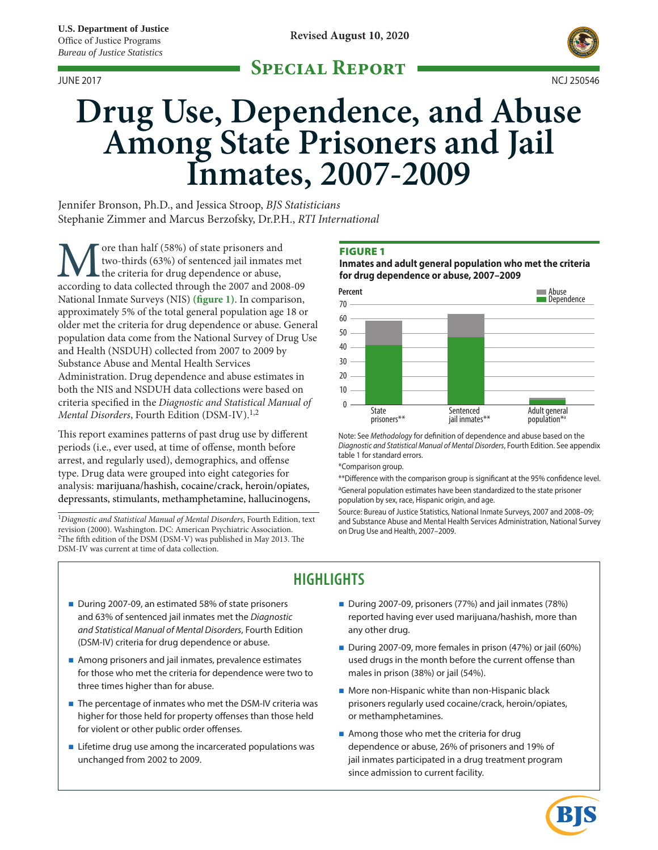# **Special Report**



# **Drug Use, Dependence, and Abuse Among State Prisoners and Jail Inmates, 2007-2009**

Jennifer Bronson, Ph.D., and Jessica Stroop, *BJS Statisticians* Stephanie Zimmer and Marcus Berzofsky, Dr.P.H., *RTI International*

More than half (58%) of state prisoners and two-thirds (63%) of sentenced jail inmates met the criteria for drug dependence or abuse, according to data collected through the 2007 and 2008-09 two-thirds (63%) of sentenced jail inmates met the criteria for drug dependence or abuse, National Inmate Surveys (NIS) **(figure 1)**. In comparison, approximately 5% of the total general population age 18 or older met the criteria for drug dependence or abuse. General population data come from the National Survey of Drug Use and Health (NSDUH) collected from 2007 to 2009 by Substance Abuse and Mental Health Services Administration. Drug dependence and abuse estimates in both the NIS and NSDUH data collections were based on criteria specified in the *Diagnostic and Statistical Manual of Mental Disorders*, Fourth Edition (DSM-IV).<sup>1,2</sup>

This report examines patterns of past drug use by different periods (i.e., ever used, at time of offense, month before arrest, and regularly used), demographics, and offense type. Drug data were grouped into eight categories for analysis: marijuana/hashish, cocaine/crack, heroin/opiates, depressants, stimulants, methamphetamine, hallucinogens,

<sup>1</sup>*Diagnostic and Statistical Manual of Mental Disorders*, Fourth Edition, text revision (2000). Washington. DC: American Psychiatric Association. <sup>2</sup>The fifth edition of the DSM (DSM-V) was published in May 2013. The DSM-IV was current at time of data collection.

### Figure 1

**Inmates and adult general population who met the criteria for drug dependence or abuse, 2007–2009**



Note: See *Methodology* for definition of dependence and abuse based on the *Diagnostic and Statistical Manual of Mental Disorders*, Fourth Edition. See appendix table 1 for standard errors.

\*Comparison group.

\*\*Difference with the comparison group is significant at the 95% confidence level. <sup>a</sup>General population estimates have been standardized to the state prisoner population by sex, race, Hispanic origin, and age.

Source: Bureau of Justice Statistics, National Inmate Surveys, 2007 and 2008–09; and Substance Abuse and Mental Health Services Administration, National Survey on Drug Use and Health, 2007–2009.

# **HIGHLIGHTS**

- During 2007-09, an estimated 58% of state prisoners and 63% of sentenced jail inmates met the *Diagnostic and Statistical Manual of Mental Disorders*, Fourth Edition (DSM-IV) criteria for drug dependence or abuse.
- Among prisoners and jail inmates, prevalence estimates for those who met the criteria for dependence were two to three times higher than for abuse.
- The percentage of inmates who met the DSM-IV criteria was higher for those held for property offenses than those held for violent or other public order offenses.
- Lifetime drug use among the incarcerated populations was unchanged from 2002 to 2009.
- During 2007-09, prisoners (77%) and jail inmates (78%) reported having ever used marijuana/hashish, more than any other drug.
- During 2007-09, more females in prison (47%) or jail (60%) used drugs in the month before the current offense than males in prison (38%) or jail (54%).
- **More non-Hispanic white than non-Hispanic black** prisoners regularly used cocaine/crack, heroin/opiates, or methamphetamines.
- Among those who met the criteria for drug dependence or abuse, 26% of prisoners and 19% of jail inmates participated in a drug treatment program since admission to current facility.

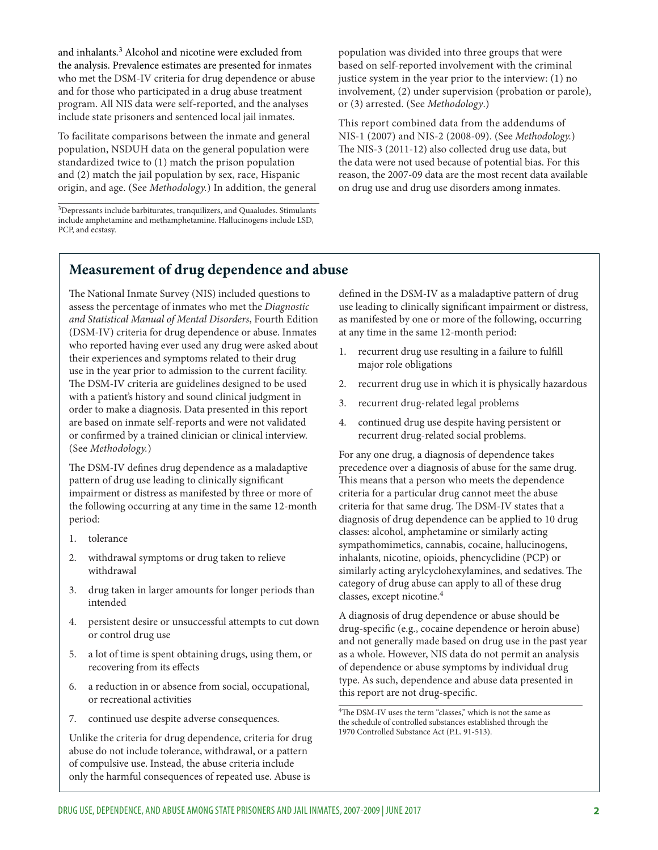and inhalants.<sup>3</sup> Alcohol and nicotine were excluded from the analysis. Prevalence estimates are presented for inmates who met the DSM-IV criteria for drug dependence or abuse and for those who participated in a drug abuse treatment program. All NIS data were self-reported, and the analyses include state prisoners and sentenced local jail inmates.

To facilitate comparisons between the inmate and general population, NSDUH data on the general population were standardized twice to (1) match the prison population and (2) match the jail population by sex, race, Hispanic origin, and age. (See *Methodology.*) In addition, the general

3Depressants include barbiturates, tranquilizers, and Quaaludes. Stimulants include amphetamine and methamphetamine. Hallucinogens include LSD, PCP, and ecstasy.

population was divided into three groups that were based on self-reported involvement with the criminal justice system in the year prior to the interview: (1) no involvement, (2) under supervision (probation or parole), or (3) arrested. (See *Methodology*.)

This report combined data from the addendums of NIS-1 (2007) and NIS-2 (2008-09). (See *Methodology.*) The NIS-3 (2011-12) also collected drug use data, but the data were not used because of potential bias. For this reason, the 2007-09 data are the most recent data available on drug use and drug use disorders among inmates.

# **Measurement of drug dependence and abuse**

The National Inmate Survey (NIS) included questions to assess the percentage of inmates who met the *Diagnostic and Statistical Manual of Mental Disorders*, Fourth Edition (DSM-IV) criteria for drug dependence or abuse. Inmates who reported having ever used any drug were asked about their experiences and symptoms related to their drug use in the year prior to admission to the current facility. The DSM-IV criteria are guidelines designed to be used with a patient's history and sound clinical judgment in order to make a diagnosis. Data presented in this report are based on inmate self-reports and were not validated or confirmed by a trained clinician or clinical interview. (See *Methodology.*)

The DSM-IV defines drug dependence as a maladaptive pattern of drug use leading to clinically significant impairment or distress as manifested by three or more of the following occurring at any time in the same 12-month period:

- 1. tolerance
- 2. withdrawal symptoms or drug taken to relieve withdrawal
- 3. drug taken in larger amounts for longer periods than intended
- 4. persistent desire or unsuccessful attempts to cut down or control drug use
- 5. a lot of time is spent obtaining drugs, using them, or recovering from its effects
- 6. a reduction in or absence from social, occupational, or recreational activities
- 7. continued use despite adverse consequences.

Unlike the criteria for drug dependence, criteria for drug abuse do not include tolerance, withdrawal, or a pattern of compulsive use. Instead, the abuse criteria include only the harmful consequences of repeated use. Abuse is

defined in the DSM-IV as a maladaptive pattern of drug use leading to clinically significant impairment or distress, as manifested by one or more of the following, occurring at any time in the same 12-month period:

- 1. recurrent drug use resulting in a failure to fulfill major role obligations
- 2. recurrent drug use in which it is physically hazardous
- 3. recurrent drug-related legal problems
- 4. continued drug use despite having persistent or recurrent drug-related social problems.

For any one drug, a diagnosis of dependence takes precedence over a diagnosis of abuse for the same drug. This means that a person who meets the dependence criteria for a particular drug cannot meet the abuse criteria for that same drug. The DSM-IV states that a diagnosis of drug dependence can be applied to 10 drug classes: alcohol, amphetamine or similarly acting sympathomimetics, cannabis, cocaine, hallucinogens, inhalants, nicotine, opioids, phencyclidine (PCP) or similarly acting arylcyclohexylamines, and sedatives.The category of drug abuse can apply to all of these drug classes, except nicotine.<sup>4</sup>

A diagnosis of drug dependence or abuse should be drug-specific (e.g., cocaine dependence or heroin abuse) and not generally made based on drug use in the past year as a whole. However, NIS data do not permit an analysis of dependence or abuse symptoms by individual drug type. As such, dependence and abuse data presented in this report are not drug-specific.

4The DSM-IV uses the term "classes," which is not the same as the schedule of controlled substances established through the 1970 Controlled Substance Act (P.L. 91-513).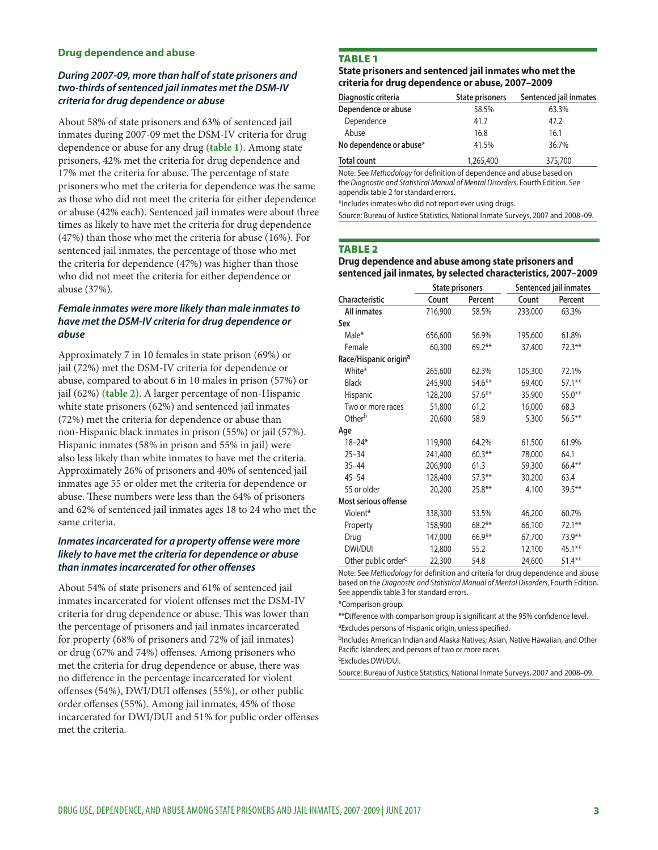#### **Drug dependence and abuse**

#### *During 2007-09, more than half of state prisoners and two-thirds of sentenced jail inmates met the DSM-IV criteria for drug dependence or abuse*

About 58% of state prisoners and 63% of sentenced jail inmates during 2007-09 met the DSM-IV criteria for drug dependence or abuse for any drug **(table 1)**. Among state prisoners, 42% met the criteria for drug dependence and 17% met the criteria for abuse. The percentage of state prisoners who met the criteria for dependence was the same as those who did not meet the criteria for either dependence or abuse (42% each). Sentenced jail inmates were about three times as likely to have met the criteria for drug dependence (47%) than those who met the criteria for abuse (16%). For sentenced jail inmates, the percentage of those who met the criteria for dependence (47%) was higher than those who did not meet the criteria for either dependence or abuse (37%).

### *Female inmates were more likely than male inmates to have met the DSM-IV criteria for drug dependence or abuse*

Approximately 7 in 10 females in state prison (69%) or jail (72%) met the DSM-IV criteria for dependence or abuse, compared to about 6 in 10 males in prison (57%) or jail (62%) **(table 2)**. A larger percentage of non-Hispanic white state prisoners (62%) and sentenced jail inmates (72%) met the criteria for dependence or abuse than non-Hispanic black inmates in prison (55%) or jail (57%). Hispanic inmates (58% in prison and 55% in jail) were also less likely than white inmates to have met the criteria. Approximately 26% of prisoners and 40% of sentenced jail inmates age 55 or older met the criteria for dependence or abuse. These numbers were less than the 64% of prisoners and 62% of sentenced jail inmates ages 18 to 24 who met the same criteria.

#### *Inmates incarcerated for a property offense were more likely to have met the criteria for dependence or abuse than inmates incarcerated for other offenses*

About 54% of state prisoners and 61% of sentenced jail inmates incarcerated for violent offenses met the DSM-IV criteria for drug dependence or abuse. This was lower than the percentage of prisoners and jail inmates incarcerated for property (68% of prisoners and 72% of jail inmates) or drug (67% and 74%) offenses. Among prisoners who met the criteria for drug dependence or abuse, there was no difference in the percentage incarcerated for violent offenses (54%), DWI/DUI offenses (55%), or other public order offenses (55%). Among jail inmates, 45% of those incarcerated for DWI/DUI and 51% for public order offenses met the criteria.

#### **TABLE 1**

#### **State prisoners and sentenced jail inmates who met the criteria for drug dependence or abuse, 2007–2009**

| Diagnostic criteria                                                   | <b>State prisoners</b> | Sentenced jail inmates |  |  |  |
|-----------------------------------------------------------------------|------------------------|------------------------|--|--|--|
| Dependence or abuse                                                   | 58.5%                  | 63.3%                  |  |  |  |
| Dependence                                                            | 41.7                   | 47.2                   |  |  |  |
| Abuse                                                                 | 16.8                   | 16.1                   |  |  |  |
| No dependence or abuse*                                               | 41.5%                  | 36.7%                  |  |  |  |
| <b>Total count</b>                                                    | 1,265,400              | 375,700                |  |  |  |
| Note: See Methodology for definition of dependence and abuse based on |                        |                        |  |  |  |

the *Diagnostic and Statistical Manual of Mental Disorders*, Fourth Edition. See appendix table 2 for standard errors.

\*Includes inmates who did not report ever using drugs.

Source: Bureau of Justice Statistics, National Inmate Surveys, 2007 and 2008–09.

#### **TABLE 2**

#### **Drug dependence and abuse among state prisoners and sentenced jail inmates, by selected characteristics, 2007–2009**

|                                   | <b>State prisoners</b> |           | Sentenced jail inmates |           |  |
|-----------------------------------|------------------------|-----------|------------------------|-----------|--|
| Characteristic                    | Count                  | Percent   | Count                  | Percent   |  |
| All inmates                       | 716,900                | 58.5%     | 233,000                | 63.3%     |  |
| Sex                               |                        |           |                        |           |  |
| Male*                             | 656,600                | 56.9%     | 195,600                | 61.8%     |  |
| Female                            | 60,300                 | $69.2***$ | 37,400                 | $72.3***$ |  |
| Race/Hispanic origin <sup>a</sup> |                        |           |                        |           |  |
| White*                            | 265,600                | 62.3%     | 105,300                | 72.1%     |  |
| <b>Black</b>                      | 245,900                | $54.6***$ | 69,400                 | $57.1***$ |  |
| Hispanic                          | 128,200                | $57.6***$ | 35,900                 | $55.0**$  |  |
| Two or more races                 | 51,800                 | 61.2      | 16,000                 | 68.3      |  |
| Other <sup>b</sup>                | 20,600                 | 58.9      | 5,300                  | $56.5***$ |  |
| Age                               |                        |           |                        |           |  |
| $18 - 24*$                        | 119,900                | 64.2%     | 61,500                 | 61.9%     |  |
| $25 - 34$                         | 241,400                | $60.3**$  | 78,000                 | 64.1      |  |
| $35 - 44$                         | 206,900                | 61.3      | 59,300                 | 66.4**    |  |
| $45 - 54$                         | 128,400                | $57.3***$ | 30,200                 | 63.4      |  |
| 55 or older                       | 20,200                 | $25.8**$  | 4,100                  | 39.5**    |  |
| Most serious offense              |                        |           |                        |           |  |
| Violent*                          | 338,300                | 53.5%     | 46,200                 | 60.7%     |  |
| Property                          | 158,900                | $68.2**$  | 66,100                 | 72.1**    |  |
| Drug                              | 147,000                | $66.9**$  | 67,700                 | 73.9**    |  |
| DWI/DUI                           | 12,800                 | 55.2      | 12,100                 | 45.1**    |  |
| Other public order <sup>c</sup>   | 22,300                 | 54.8      | 24,600                 | $51.4***$ |  |

Note: See *Methodology* for definition and criteria for drug dependence and abuse based on the *Diagnostic and Statistical Manual of Mental Disorders*, Fourth Edition. See appendix table 3 for standard errors.

\*Comparison group.

\*\*Difference with comparison group is significant at the 95% confidence level.

<sup>a</sup>Excludes persons of Hispanic origin, unless specified.

bIncludes American Indian and Alaska Natives; Asian, Native Hawaiian, and Other Pacific Islanders; and persons of two or more races.

cExcludes DWI/DUI.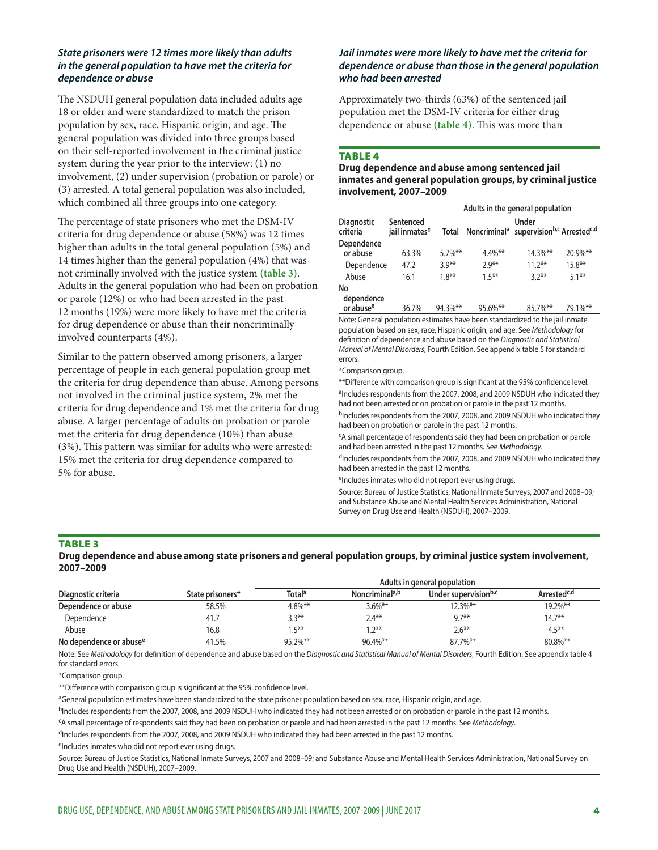#### *State prisoners were 12 times more likely than adults in the general population to have met the criteria for dependence or abuse*

The NSDUH general population data included adults age 18 or older and were standardized to match the prison population by sex, race, Hispanic origin, and age. The general population was divided into three groups based on their self-reported involvement in the criminal justice system during the year prior to the interview: (1) no involvement, (2) under supervision (probation or parole) or (3) arrested. A total general population was also included, which combined all three groups into one category.

The percentage of state prisoners who met the DSM-IV criteria for drug dependence or abuse (58%) was 12 times higher than adults in the total general population (5%) and 14 times higher than the general population (4%) that was not criminally involved with the justice system **(table 3)**. Adults in the general population who had been on probation or parole (12%) or who had been arrested in the past 12 months (19%) were more likely to have met the criteria for drug dependence or abuse than their noncriminally involved counterparts (4%).

Similar to the pattern observed among prisoners, a larger percentage of people in each general population group met the criteria for drug dependence than abuse. Among persons not involved in the criminal justice system, 2% met the criteria for drug dependence and 1% met the criteria for drug abuse. A larger percentage of adults on probation or parole met the criteria for drug dependence (10%) than abuse (3%). This pattern was similar for adults who were arrested: 15% met the criteria for drug dependence compared to 5% for abuse.

#### *Jail inmates were more likely to have met the criteria for dependence or abuse than those in the general population who had been arrested*

Approximately two-thirds (63%) of the sentenced jail population met the DSM-IV criteria for either drug dependence or abuse **(table 4)**. This was more than

#### **TABLE 4**

#### **Drug dependence and abuse among sentenced jail inmates and general population groups, by criminal justice involvement, 2007–2009**

|                               |                            | Adults in the general population |            |                                                                                      |           |  |
|-------------------------------|----------------------------|----------------------------------|------------|--------------------------------------------------------------------------------------|-----------|--|
| <b>Diagnostic</b><br>criteria | Sentenced<br>jail inmates* | Total                            |            | Under<br>Noncriminal <sup>a</sup> supervision <sup>b,c</sup> Arrested <sup>c,d</sup> |           |  |
| Dependence<br>or abuse        | 63.3%                      | $5.7\%$ **                       | $4.4\%$ ** | 14.3%**                                                                              | 20.9%**   |  |
| Dependence                    | 47.2                       | $3.9**$                          | $7.9***$   | $11.2***$                                                                            | $15.8***$ |  |
| Abuse                         | 16.1                       | $1.8***$                         | $15***$    | $32**$                                                                               | $51**$    |  |
| No<br>dependence              |                            |                                  |            |                                                                                      |           |  |

 **or abusee** 36.7% 94.3%\*\* 95.6%\*\* 85.7%\*\* 79.1%\*\* Note: General population estimates have been standardized to the jail inmate population based on sex, race, Hispanic origin, and age. See *Methodology* for definition of dependence and abuse based on the *Diagnostic and Statistical Manual of Mental Disorders*, Fourth Edition. See appendix table 5 for standard errors.

#### \*Comparison group.

\*\*Difference with comparison group is significant at the 95% confidence level. <sup>a</sup>Includes respondents from the 2007, 2008, and 2009 NSDUH who indicated they had not been arrested or on probation or parole in the past 12 months.

bIncludes respondents from the 2007, 2008, and 2009 NSDUH who indicated they had been on probation or parole in the past 12 months.

cA small percentage of respondents said they had been on probation or parole and had been arrested in the past 12 months. See *Methodology*.

 $d$ Includes respondents from the 2007, 2008, and 2009 NSDUH who indicated they had been arrested in the past 12 months.

eIncludes inmates who did not report ever using drugs.

Source: Bureau of Justice Statistics, National Inmate Surveys, 2007 and 2008–09; and Substance Abuse and Mental Health Services Administration, National Survey on Drug Use and Health (NSDUH), 2007–2009.

#### Table 3

**Drug dependence and abuse among state prisoners and general population groups, by criminal justice system involvement, 2007–2009**

|                                     |                  | Adults in general population |                            |                                  |                         |  |
|-------------------------------------|------------------|------------------------------|----------------------------|----------------------------------|-------------------------|--|
| Diagnostic criteria                 | State prisoners* | <b>Total</b> <sup>a</sup>    | Noncriminal <sup>a,b</sup> | Under supervision <sup>b,c</sup> | Arrested <sup>c,d</sup> |  |
| Dependence or abuse                 | 58.5%            | $4.8\%$ **                   | $3.6\%$ **                 | $12.3\%$ **                      | $19.2\%$ **             |  |
| Dependence                          | 41.7             | $3.3***$                     | 2.4**                      | $9.7***$                         | $14.7**$                |  |
| Abuse                               | 16.8             | $.5***$                      | $7**$                      | $2.6***$                         | $4.5***$                |  |
| No dependence or abuse <sup>e</sup> | 41.5%            | $95.2\%$ **                  | $96.4\%$ **                | 87.7%**                          | 80.8%**                 |  |

Note: See *Methodology* for definition of dependence and abuse based on the *Diagnostic and Statistical Manual of Mental Disorders*, Fourth Edition. See appendix table 4 for standard errors.

\*Comparison group.

\*\*Difference with comparison group is significant at the 95% confidence level.

aGeneral population estimates have been standardized to the state prisoner population based on sex, race, Hispanic origin, and age.

bIncludes respondents from the 2007, 2008, and 2009 NSDUH who indicated they had not been arrested or on probation or parole in the past 12 months.

cA small percentage of respondents said they had been on probation or parole and had been arrested in the past 12 months. See *Methodology*.

<sup>d</sup>Includes respondents from the 2007, 2008, and 2009 NSDUH who indicated they had been arrested in the past 12 months.

eIncludes inmates who did not report ever using drugs.

Source: Bureau of Justice Statistics, National Inmate Surveys, 2007 and 2008–09; and Substance Abuse and Mental Health Services Administration, National Survey on Drug Use and Health (NSDUH), 2007–2009.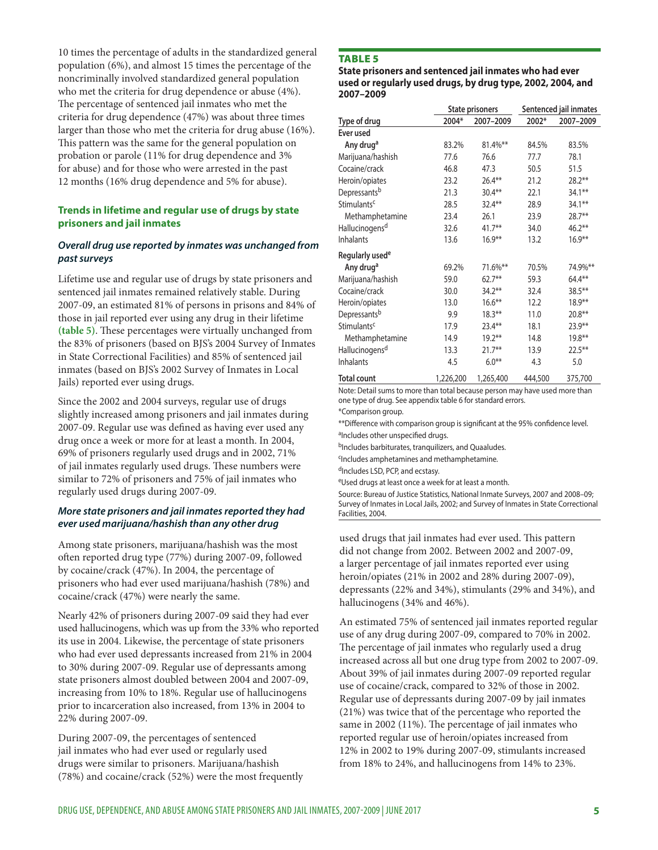10 times the percentage of adults in the standardized general population (6%), and almost 15 times the percentage of the noncriminally involved standardized general population who met the criteria for drug dependence or abuse (4%). The percentage of sentenced jail inmates who met the criteria for drug dependence (47%) was about three times larger than those who met the criteria for drug abuse (16%). This pattern was the same for the general population on probation or parole (11% for drug dependence and 3% for abuse) and for those who were arrested in the past 12 months (16% drug dependence and 5% for abuse).

### **Trends in lifetime and regular use of drugs by state prisoners and jail inmates**

### *Overall drug use reported by inmates was unchanged from past surveys*

Lifetime use and regular use of drugs by state prisoners and sentenced jail inmates remained relatively stable. During 2007-09, an estimated 81% of persons in prisons and 84% of those in jail reported ever using any drug in their lifetime **(table 5)**. These percentages were virtually unchanged from the 83% of prisoners (based on BJS's 2004 Survey of Inmates in State Correctional Facilities) and 85% of sentenced jail inmates (based on BJS's 2002 Survey of Inmates in Local Jails) reported ever using drugs.

Since the 2002 and 2004 surveys, regular use of drugs slightly increased among prisoners and jail inmates during 2007-09. Regular use was defined as having ever used any drug once a week or more for at least a month. In 2004, 69% of prisoners regularly used drugs and in 2002, 71% of jail inmates regularly used drugs. These numbers were similar to 72% of prisoners and 75% of jail inmates who regularly used drugs during 2007-09.

#### *More state prisoners and jail inmates reported they had ever used marijuana/hashish than any other drug*

Among state prisoners, marijuana/hashish was the most often reported drug type (77%) during 2007-09, followed by cocaine/crack (47%). In 2004, the percentage of prisoners who had ever used marijuana/hashish (78%) and cocaine/crack (47%) were nearly the same.

Nearly 42% of prisoners during 2007-09 said they had ever used hallucinogens, which was up from the 33% who reported its use in 2004. Likewise, the percentage of state prisoners who had ever used depressants increased from 21% in 2004 to 30% during 2007-09. Regular use of depressants among state prisoners almost doubled between 2004 and 2007-09, increasing from 10% to 18%. Regular use of hallucinogens prior to incarceration also increased, from 13% in 2004 to 22% during 2007-09.

During 2007-09, the percentages of sentenced jail inmates who had ever used or regularly used drugs were similar to prisoners. Marijuana/hashish (78%) and cocaine/crack (52%) were the most frequently

### **TABLE 5**

**State prisoners and sentenced jail inmates who had ever used or regularly used drugs, by drug type, 2002, 2004, and 2007–2009**

|                             | <b>State prisoners</b> |           | Sentenced jail inmates |           |
|-----------------------------|------------------------|-----------|------------------------|-----------|
| Type of drug                | 2004*                  | 2007-2009 | 2002*                  | 2007-2009 |
| Ever used                   |                        |           |                        |           |
| Any drug <sup>a</sup>       | 83.2%                  | 81.4%**   | 84.5%                  | 83.5%     |
| Marijuana/hashish           | 77.6                   | 76.6      | 77.7                   | 78.1      |
| Cocaine/crack               | 46.8                   | 47.3      | 50.5                   | 51.5      |
| Heroin/opiates              | 23.2                   | $26.4***$ | 21.2                   | $28.2**$  |
| Depressants <sup>b</sup>    | 21.3                   | $30.4***$ | 22.1                   | $34.1***$ |
| Stimulants <sup>c</sup>     | 28.5                   | $32.4**$  | 28.9                   | $34.1***$ |
| Methamphetamine             | 23.4                   | 26.1      | 23.9                   | 28.7**    |
| Hallucinogens <sup>d</sup>  | 32.6                   | $41.7**$  | 34.0                   | $46.2**$  |
| Inhalants                   | 13.6                   | $16.9**$  | 13.2                   | $16.9**$  |
| Regularly used <sup>e</sup> |                        |           |                        |           |
| Any drug <sup>a</sup>       | 69.2%                  | 71.6%**   | 70.5%                  | 74.9%**   |
| Marijuana/hashish           | 59.0                   | $62.7***$ | 59.3                   | $64.4**$  |
| Cocaine/crack               | 30.0                   | $34.2***$ | 32.4                   | 38.5**    |
| Heroin/opiates              | 13.0                   | $16.6***$ | 12.2                   | $18.9**$  |
| Depressants <sup>b</sup>    | 9.9                    | $18.3**$  | 11.0                   | $20.8**$  |
| Stimulants <sup>c</sup>     | 17.9                   | 23.4**    | 18.1                   | $23.9**$  |
| Methamphetamine             | 14.9                   | $19.2***$ | 14.8                   | $19.8***$ |
| Hallucinogens <sup>d</sup>  | 13.3                   | $21.7***$ | 13.9                   | $22.5***$ |
| <b>Inhalants</b>            | 4.5                    | $6.0**$   | 4.3                    | 5.0       |
| <b>Total count</b>          | 1,226,200              | 1,265,400 | 444,500                | 375,700   |

Note: Detail sums to more than total because person may have used more than one type of drug. See appendix table 6 for standard errors.

\*Comparison group.

\*\*Difference with comparison group is significant at the 95% confidence level. aIncludes other unspecified drugs.

bIncludes barbiturates, tranquilizers, and Quaaludes.

cIncludes amphetamines and methamphetamine.

dIncludes LSD, PCP, and ecstasy.

eUsed drugs at least once a week for at least a month.

Source: Bureau of Justice Statistics, National Inmate Surveys, 2007 and 2008–09; Survey of Inmates in Local Jails, 2002; and Survey of Inmates in State Correctional Facilities, 2004.

used drugs that jail inmates had ever used. This pattern did not change from 2002. Between 2002 and 2007-09, a larger percentage of jail inmates reported ever using heroin/opiates (21% in 2002 and 28% during 2007-09), depressants (22% and 34%), stimulants (29% and 34%), and hallucinogens (34% and 46%).

An estimated 75% of sentenced jail inmates reported regular use of any drug during 2007-09, compared to 70% in 2002. The percentage of jail inmates who regularly used a drug increased across all but one drug type from 2002 to 2007-09. About 39% of jail inmates during 2007-09 reported regular use of cocaine/crack, compared to 32% of those in 2002. Regular use of depressants during 2007-09 by jail inmates (21%) was twice that of the percentage who reported the same in 2002 (11%). The percentage of jail inmates who reported regular use of heroin/opiates increased from 12% in 2002 to 19% during 2007-09, stimulants increased from 18% to 24%, and hallucinogens from 14% to 23%.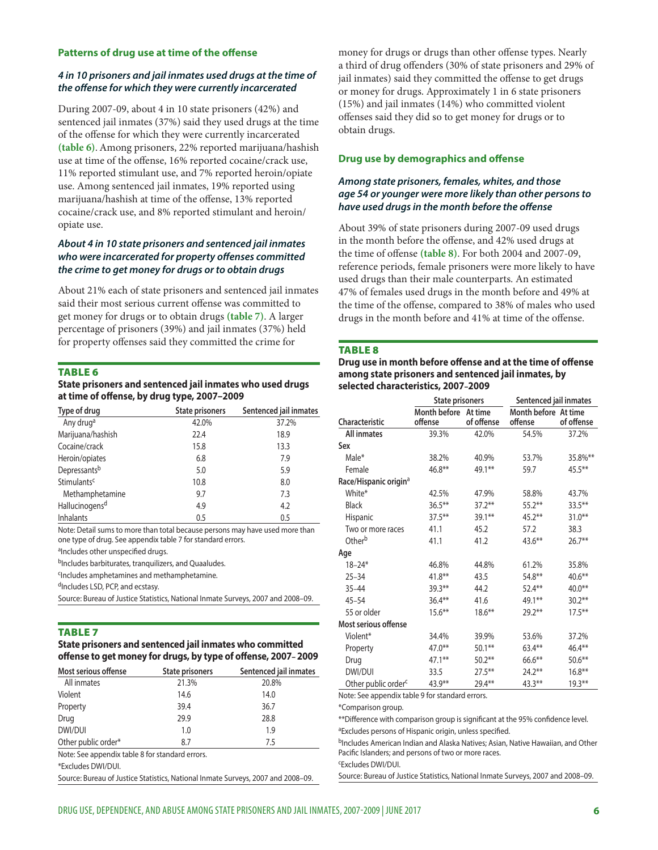#### **Patterns of drug use at time of the offense**

#### *4 in 10 prisoners and jail inmates used drugs at the time of the offense for which they were currently incarcerated*

During 2007-09, about 4 in 10 state prisoners (42%) and sentenced jail inmates (37%) said they used drugs at the time of the offense for which they were currently incarcerated **(table 6)**.Among prisoners, 22% reported marijuana/hashish use at time of the offense, 16% reported cocaine/crack use, 11% reported stimulant use, and 7% reported heroin/opiate use. Among sentenced jail inmates, 19% reported using marijuana/hashish at time of the offense, 13% reported cocaine/crack use, and 8% reported stimulant and heroin/ opiate use.

#### *About 4 in 10 state prisoners and sentenced jail inmates who were incarcerated for property offenses committed the crime to get money for drugs or to obtain drugs*

About 21% each of state prisoners and sentenced jail inmates said their most serious current offense was committed to get money for drugs or to obtain drugs **(table 7)**. A larger percentage of prisoners (39%) and jail inmates (37%) held for property offenses said they committed the crime for

#### **TABLE 6**

**State prisoners and sentenced jail inmates who used drugs at time of offense, by drug type, 2007–2009**

| Type of drug               | State prisoners | Sentenced jail inmates |
|----------------------------|-----------------|------------------------|
| Any drug <sup>a</sup>      | 42.0%           | 37.2%                  |
| Marijuana/hashish          | 22.4            | 18.9                   |
| Cocaine/crack              | 15.8            | 13.3                   |
| Heroin/opiates             | 6.8             | 7.9                    |
| Depressantsb               | 5.0             | 5.9                    |
| Stimulants <sup>c</sup>    | 10.8            | 8.0                    |
| Methamphetamine            | 9.7             | 7.3                    |
| Hallucinogens <sup>d</sup> | 4.9             | 4.2                    |
| Inhalants                  | 0.5             | 0.5                    |

Note: Detail sums to more than total because persons may have used more than one type of drug. See appendix table 7 for standard errors.

aIncludes other unspecified drugs.

b<sub>Includes</sub> barbiturates, tranquilizers, and Quaaludes.

cIncludes amphetamines and methamphetamine.

<sup>d</sup>Includes LSD, PCP, and ecstasy.

Source: Bureau of Justice Statistics, National Inmate Surveys, 2007 and 2008–09.

#### Table 7

**State prisoners and sentenced jail inmates who committed offense to get money for drugs, by type of offense, 2007– 2009**

| Most serious offense | State prisoners | Sentenced jail inmates |
|----------------------|-----------------|------------------------|
| All inmates          | 21.3%           | 20.8%                  |
| Violent              | 14.6            | 14.0                   |
| Property             | 39.4            | 36.7                   |
| Drug                 | 29.9            | 28.8                   |
| DWI/DUI              | 1.0             | 1.9                    |
| Other public order*  | 8.7             | 7.5                    |

Note: See appendix table 8 for standard errors.

\*Excludes DWI/DUI.

Source: Bureau of Justice Statistics, National Inmate Surveys, 2007 and 2008–09.

money for drugs or drugs than other offense types. Nearly a third of drug offenders (30% of state prisoners and 29% of jail inmates) said they committed the offense to get drugs or money for drugs. Approximately 1 in 6 state prisoners (15%) and jail inmates (14%) who committed violent offenses said they did so to get money for drugs or to obtain drugs.

#### **Drug use by demographics and offense**

#### *Among state prisoners, females, whites, and those age 54 or younger were more likely than other persons to have used drugs in the month before the offense*

About 39% of state prisoners during 2007-09 used drugs in the month before the offense, and 42% used drugs at the time of offense **(table 8)**. For both 2004 and 2007-09, reference periods, female prisoners were more likely to have used drugs than their male counterparts. An estimated 47% of females used drugs in the month before and 49% at the time of the offense, compared to 38% of males who used drugs in the month before and 41% at time of the offense.

#### **TABLE 8**

**Drug use in month before offense and at the time of offense among state prisoners and sentenced jail inmates, by selected characteristics, 2007–2009**

|                                   | Sentenced jail inmates<br><b>State prisoners</b> |            |                                 |            |
|-----------------------------------|--------------------------------------------------|------------|---------------------------------|------------|
| <b>Characteristic</b>             | Month before At time<br>offense                  | of offense | Month before At time<br>offense | of offense |
| All inmates                       | 39.3%                                            | 42.0%      | 54.5%                           | 37.2%      |
| Sex                               |                                                  |            |                                 |            |
| Male*                             | 38.2%                                            | 40.9%      | 53.7%                           | 35.8%**    |
| Female                            | $46.8**$                                         | 49.1**     | 59.7                            | $45.5***$  |
| Race/Hispanic origin <sup>a</sup> |                                                  |            |                                 |            |
| White*                            | 42.5%                                            | 47.9%      | 58.8%                           | 43.7%      |
| <b>Black</b>                      | $36.5***$                                        | $37.2***$  | $55.2***$                       | 33.5**     |
| Hispanic                          | $37.5***$                                        | $39.1***$  | $45.2***$                       | $31.0***$  |
| Two or more races                 | 41.1                                             | 45.2       | 57.2                            | 38.3       |
| Other <sup>b</sup>                | 41.1                                             | 41.2       | 43.6**                          | $26.7**$   |
| Age                               |                                                  |            |                                 |            |
| $18 - 24*$                        | 46.8%                                            | 44.8%      | 61.2%                           | 35.8%      |
| $25 - 34$                         | $41.8***$                                        | 43.5       | $54.8**$                        | $40.6***$  |
| $35 - 44$                         | $39.3**$                                         | 44.2       | $52.4**$                        | $40.0**$   |
| $45 - 54$                         | $36.4**$                                         | 41.6       | 49.1**                          | $30.2**$   |
| 55 or older                       | $15.6***$                                        | $18.6***$  | $29.2**$                        | $17.5***$  |
| Most serious offense              |                                                  |            |                                 |            |
| Violent*                          | 34.4%                                            | 39.9%      | 53.6%                           | 37.2%      |
| Property                          | $47.0**$                                         | $50.1***$  | $63.4**$                        | $46.4***$  |
| Drug                              | $47.1***$                                        | $50.2**$   | $66.6**$                        | $50.6***$  |
| DWI/DUI                           | 33.5                                             | $27.5***$  | $24.2**$                        | $16.8**$   |
| Other public order <sup>c</sup>   | $43.9**$                                         | 29.4**     | $43.3**$                        | $19.3***$  |

Note: See appendix table 9 for standard errors.

\*Comparison group.

\*\*Difference with comparison group is significant at the 95% confidence level. <sup>a</sup>Excludes persons of Hispanic origin, unless specified.

bIncludes American Indian and Alaska Natives; Asian, Native Hawaiian, and Other Pacific Islanders; and persons of two or more races.

cExcludes DWI/DUI.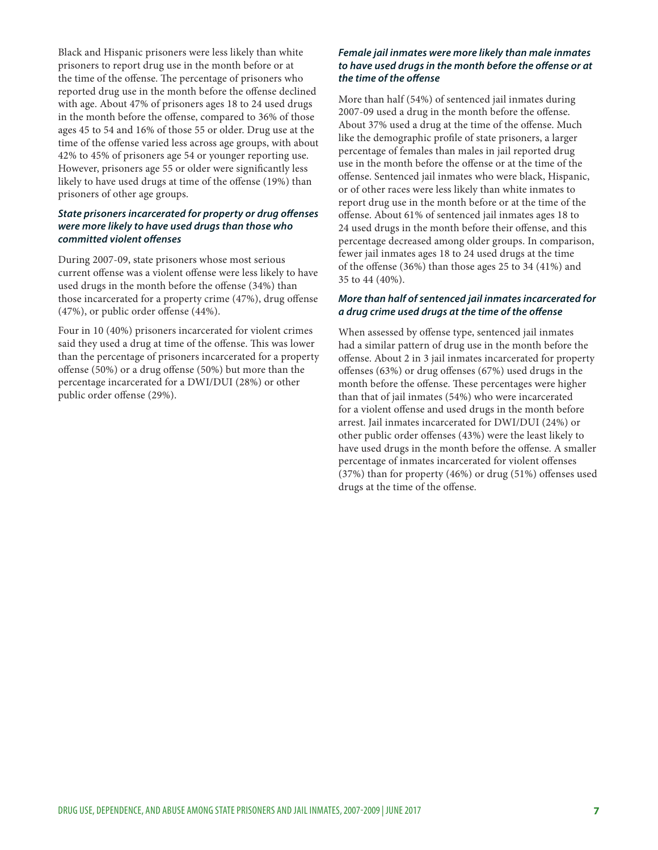Black and Hispanic prisoners were less likely than white prisoners to report drug use in the month before or at the time of the offense. The percentage of prisoners who reported drug use in the month before the offense declined with age. About 47% of prisoners ages 18 to 24 used drugs in the month before the offense, compared to 36% of those ages 45 to 54 and 16% of those 55 or older. Drug use at the time of the offense varied less across age groups, with about 42% to 45% of prisoners age 54 or younger reporting use. However, prisoners age 55 or older were significantly less likely to have used drugs at time of the offense (19%) than prisoners of other age groups.

### *State prisoners incarcerated for property or drug offenses were more likely to have used drugs than those who committed violent offenses*

During 2007-09, state prisoners whose most serious current offense was a violent offense were less likely to have used drugs in the month before the offense (34%) than those incarcerated for a property crime (47%), drug offense (47%), or public order offense (44%).

Four in 10 (40%) prisoners incarcerated for violent crimes said they used a drug at time of the offense. This was lower than the percentage of prisoners incarcerated for a property offense (50%) or a drug offense (50%) but more than the percentage incarcerated for a DWI/DUI (28%) or other public order offense (29%).

#### *Female jail inmates were more likely than male inmates to have used drugs in the month before the offense or at the time of the offense*

More than half (54%) of sentenced jail inmates during 2007-09 used a drug in the month before the offense. About 37% used a drug at the time of the offense. Much like the demographic profile of state prisoners, a larger percentage of females than males in jail reported drug use in the month before the offense or at the time of the offense. Sentenced jail inmates who were black, Hispanic, or of other races were less likely than white inmates to report drug use in the month before or at the time of the offense. About 61% of sentenced jail inmates ages 18 to 24 used drugs in the month before their offense, and this percentage decreased among older groups. In comparison, fewer jail inmates ages 18 to 24 used drugs at the time of the offense (36%) than those ages 25 to 34 (41%) and 35 to 44 (40%).

#### *More than half of sentenced jail inmates incarcerated for a drug crime used drugs at the time of the offense*

When assessed by offense type, sentenced jail inmates had a similar pattern of drug use in the month before the offense. About 2 in 3 jail inmates incarcerated for property offenses (63%) or drug offenses (67%) used drugs in the month before the offense. These percentages were higher than that of jail inmates (54%) who were incarcerated for a violent offense and used drugs in the month before arrest. Jail inmates incarcerated for DWI/DUI (24%) or other public order offenses (43%) were the least likely to have used drugs in the month before the offense. A smaller percentage of inmates incarcerated for violent offenses (37%) than for property (46%) or drug (51%) offenses used drugs at the time of the offense.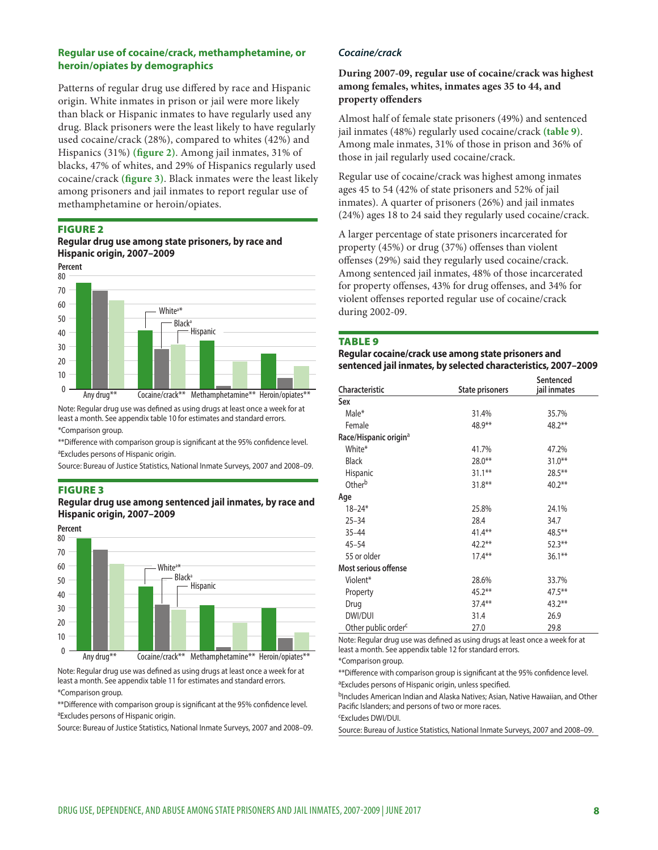#### **Regular use of cocaine/crack, methamphetamine, or heroin/opiates by demographics**

Patterns of regular drug use differed by race and Hispanic origin. White inmates in prison or jail were more likely than black or Hispanic inmates to have regularly used any drug. Black prisoners were the least likely to have regularly used cocaine/crack (28%), compared to whites (42%) and Hispanics (31%) **(figure 2)**. Among jail inmates, 31% of blacks, 47% of whites, and 29% of Hispanics regularly used cocaine/crack **(figure 3)**. Black inmates were the least likely among prisoners and jail inmates to report regular use of methamphetamine or heroin/opiates.

#### Figure 2

#### **Regular drug use among state prisoners, by race and Hispanic origin, 2007–2009**



Note: Regular drug use was defined as using drugs at least once a week for at least a month. See appendix table 10 for estimates and standard errors. \*Comparison group.

\*\*Difference with comparison group is significant at the 95% confidence level. aExcludes persons of Hispanic origin.

Source: Bureau of Justice Statistics, National Inmate Surveys, 2007 and 2008–09.

#### Figure 3

**Regular drug use among sentenced jail inmates, by race and Hispanic origin, 2007–2009**



Note: Regular drug use was defined as using drugs at least once a week for at least a month. See appendix table 11 for estimates and standard errors.

#### \*Comparison group.

\*\*Difference with comparison group is significant at the 95% confidence level. <sup>a</sup>Excludes persons of Hispanic origin.

Source: Bureau of Justice Statistics, National Inmate Surveys, 2007 and 2008–09.

#### *Cocaine/crack*

#### **During 2007-09, regular use of cocaine/crack was highest among females, whites, inmates ages 35 to 44, and property offenders**

Almost half of female state prisoners (49%) and sentenced jail inmates (48%) regularly used cocaine/crack **(table 9)**. Among male inmates, 31% of those in prison and 36% of those in jail regularly used cocaine/crack.

Regular use of cocaine/crack was highest among inmates ages 45 to 54 (42% of state prisoners and 52% of jail inmates). A quarter of prisoners (26%) and jail inmates (24%) ages 18 to 24 said they regularly used cocaine/crack.

A larger percentage of state prisoners incarcerated for property (45%) or drug (37%) offenses than violent offenses (29%) said they regularly used cocaine/crack. Among sentenced jail inmates, 48% of those incarcerated for property offenses, 43% for drug offenses, and 34% for violent offenses reported regular use of cocaine/crack during 2002-09.

#### **TABLE 9**

**Regular cocaine/crack use among state prisoners and sentenced jail inmates, by selected characteristics, 2007–2009** 

| <b>Characteristic</b>             | <b>State prisoners</b> | Sentenced<br>jail inmates |
|-----------------------------------|------------------------|---------------------------|
| Sex                               |                        |                           |
| Male*                             | 31.4%                  | 35.7%                     |
| Female                            | 48.9**                 | $48.2**$                  |
| Race/Hispanic origin <sup>a</sup> |                        |                           |
| White*                            | 41.7%                  | 47.2%                     |
| <b>Black</b>                      | $28.0**$               | $31.0***$                 |
| Hispanic                          | $31.1***$              | $28.5***$                 |
| Other <sup>b</sup>                | $31.8***$              | $40.2***$                 |
| Age                               |                        |                           |
| $18 - 24*$                        | 25.8%                  | 24.1%                     |
| $25 - 34$                         | 28.4                   | 34.7                      |
| $35 - 44$                         | $41.4***$              | $48.5***$                 |
| $45 - 54$                         | $42.2***$              | $52.3***$                 |
| 55 or older                       | $17.4***$              | $36.1**$                  |
| Most serious offense              |                        |                           |
| Violent*                          | 28.6%                  | 33.7%                     |
| Property                          | $45.2***$              | $47.5***$                 |
| Drug                              | $37.4***$              | $43.2**$                  |
| DWI/DUI                           | 31.4                   | 26.9                      |
| Other public order <sup>c</sup>   | 27.0                   | 29.8                      |

Note: Regular drug use was defined as using drugs at least once a week for at least a month. See appendix table 12 for standard errors.

\*Comparison group.

\*\*Difference with comparison group is significant at the 95% confidence level. <sup>a</sup>Excludes persons of Hispanic origin, unless specified.

bIncludes American Indian and Alaska Natives; Asian, Native Hawaiian, and Other Pacific Islanders; and persons of two or more races.

cExcludes DWI/DUI.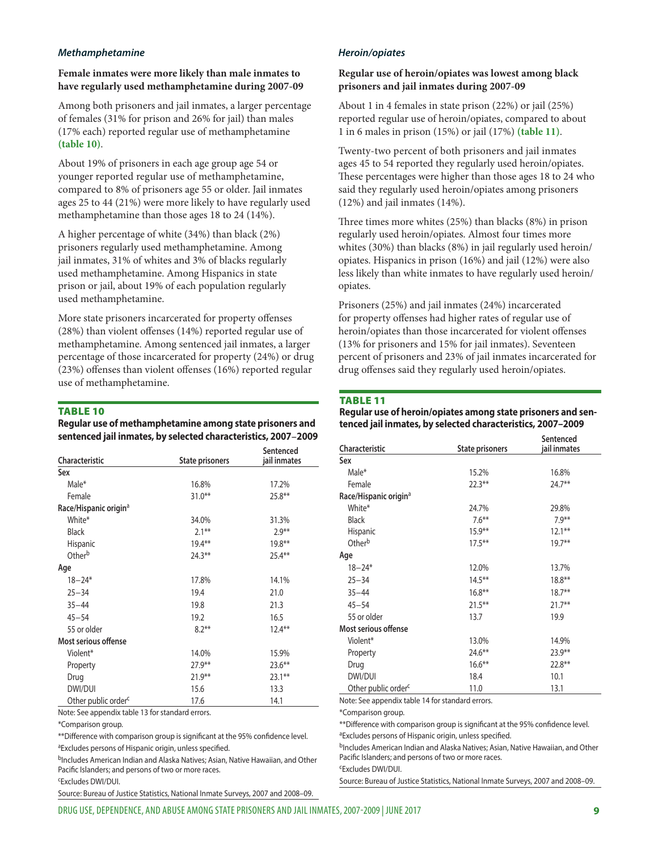#### *Methamphetamine*

#### **Female inmates were more likely than male inmates to have regularly used methamphetamine during 2007-09**

Among both prisoners and jail inmates, a larger percentage of females (31% for prison and 26% for jail) than males (17% each) reported regular use of methamphetamine **(table 10)**.

About 19% of prisoners in each age group age 54 or younger reported regular use of methamphetamine, compared to 8% of prisoners age 55 or older. Jail inmates ages 25 to 44 (21%) were more likely to have regularly used methamphetamine than those ages 18 to 24 (14%).

A higher percentage of white (34%) than black (2%) prisoners regularly used methamphetamine. Among jail inmates, 31% of whites and 3% of blacks regularly used methamphetamine. Among Hispanics in state prison or jail, about 19% of each population regularly used methamphetamine.

More state prisoners incarcerated for property offenses (28%) than violent offenses (14%) reported regular use of methamphetamine. Among sentenced jail inmates, a larger percentage of those incarcerated for property (24%) or drug (23%) offenses than violent offenses (16%) reported regular use of methamphetamine.

#### **TABLE 10**

#### **Regular use of methamphetamine among state prisoners and sentenced jail inmates, by selected characteristics, 2007–2009**

| <b>Characteristic</b>             | <b>State prisoners</b> | Sentenced<br>jail inmates |
|-----------------------------------|------------------------|---------------------------|
| Sex                               |                        |                           |
| Male*                             | 16.8%                  | 17.2%                     |
| Female                            | $31.0**$               | $25.8**$                  |
| Race/Hispanic origin <sup>a</sup> |                        |                           |
| White*                            | 34.0%                  | 31.3%                     |
| <b>Black</b>                      | $2.1***$               | $2.9**$                   |
| <b>Hispanic</b>                   | $19.4**$               | $19.8**$                  |
| Other <sup>b</sup>                | $24.3***$              | $25.4***$                 |
| Age                               |                        |                           |
| $18 - 24*$                        | 17.8%                  | 14.1%                     |
| $25 - 34$                         | 19.4                   | 21.0                      |
| $35 - 44$                         | 19.8                   | 21.3                      |
| $45 - 54$                         | 19.2                   | 16.5                      |
| 55 or older                       | $8.2**$                | $12.4***$                 |
| Most serious offense              |                        |                           |
| Violent*                          | 14.0%                  | 15.9%                     |
| Property                          | $27.9**$               | $23.6***$                 |
| Drug                              | $21.9**$               | $23.1***$                 |
| DWI/DUI                           | 15.6                   | 13.3                      |
| Other public order <sup>c</sup>   | 17.6                   | 14.1                      |

Note: See appendix table 13 for standard errors.

\*Comparison group.

cExcludes DWI/DUI.

\*\*Difference with comparison group is significant at the 95% confidence level. <sup>a</sup>Excludes persons of Hispanic origin, unless specified.

bIncludes American Indian and Alaska Natives; Asian, Native Hawaiian, and Other Pacific Islanders; and persons of two or more races.

Source: Bureau of Justice Statistics, National Inmate Surveys, 2007 and 2008–09.

#### *Heroin/opiates*

#### **Regular use of heroin/opiates was lowest among black prisoners and jail inmates during 2007-09**

About 1 in 4 females in state prison (22%) or jail (25%) reported regular use of heroin/opiates, compared to about 1 in 6 males in prison (15%) or jail (17%) **(table 11)**.

Twenty-two percent of both prisoners and jail inmates ages 45 to 54 reported they regularly used heroin/opiates. These percentages were higher than those ages 18 to 24 who said they regularly used heroin/opiates among prisoners (12%) and jail inmates (14%).

Three times more whites (25%) than blacks (8%) in prison regularly used heroin/opiates. Almost four times more whites (30%) than blacks (8%) in jail regularly used heroin/ opiates. Hispanics in prison (16%) and jail (12%) were also less likely than white inmates to have regularly used heroin/ opiates.

Prisoners (25%) and jail inmates (24%) incarcerated for property offenses had higher rates of regular use of heroin/opiates than those incarcerated for violent offenses (13% for prisoners and 15% for jail inmates). Seventeen percent of prisoners and 23% of jail inmates incarcerated for drug offenses said they regularly used heroin/opiates.

#### Table 11

#### **Regular use of heroin/opiates among state prisoners and sentenced jail inmates, by selected characteristics, 2007–2009**

| <b>Characteristic</b>             | <b>State prisoners</b> | Sentenced<br>jail inmates |
|-----------------------------------|------------------------|---------------------------|
| Sex                               |                        |                           |
| Male*                             | 15.2%                  | 16.8%                     |
| Female                            | $22.3***$              | $24.7**$                  |
| Race/Hispanic origin <sup>a</sup> |                        |                           |
| White*                            | 24.7%                  | 29.8%                     |
| <b>Black</b>                      | $7.6***$               | $7.9**$                   |
| <b>Hispanic</b>                   | $15.9***$              | $12.1***$                 |
| Other <sup>b</sup>                | $17.5***$              | $19.7**$                  |
| Age                               |                        |                           |
| $18 - 24*$                        | 12.0%                  | 13.7%                     |
| $25 - 34$                         | $14.5***$              | $18.8**$                  |
| $35 - 44$                         | $16.8**$               | $18.7***$                 |
| $45 - 54$                         | $21.5***$              | $21.7**$                  |
| 55 or older                       | 13.7                   | 19.9                      |
| Most serious offense              |                        |                           |
| Violent*                          | 13.0%                  | 14.9%                     |
| Property                          | $24.6***$              | $23.9**$                  |
| Drug                              | $16.6***$              | $22.8**$                  |
| DWI/DUI                           | 18.4                   | 10.1                      |
| Other public order <sup>c</sup>   | 11.0                   | 13.1                      |

Note: See appendix table 14 for standard errors.

\*Comparison group.

\*\*Difference with comparison group is significant at the 95% confidence level. <sup>a</sup>Excludes persons of Hispanic origin, unless specified.

bIncludes American Indian and Alaska Natives; Asian, Native Hawaiian, and Other Pacific Islanders; and persons of two or more races.

cExcludes DWI/DUI.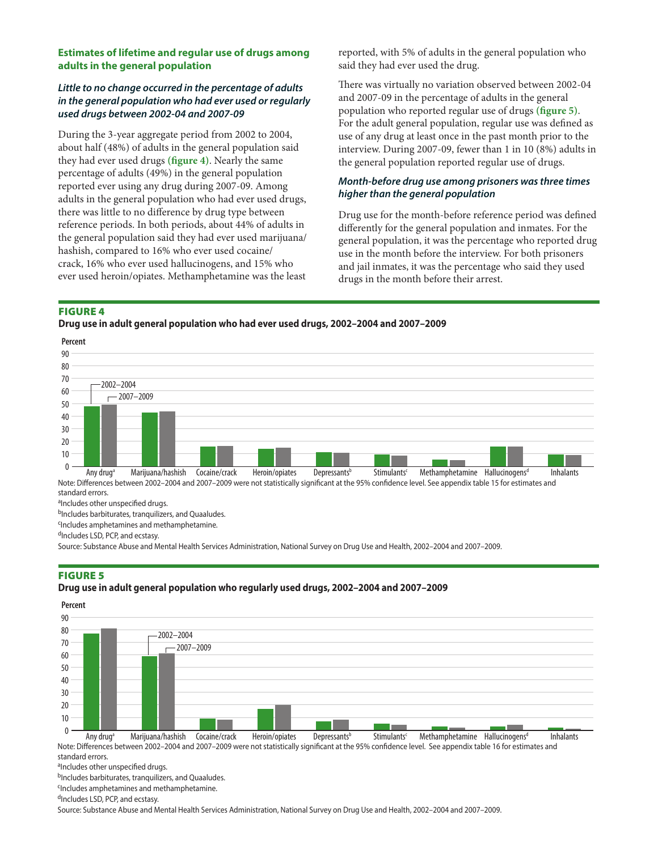#### **Estimates of lifetime and regular use of drugs among adults in the general population**

### *Little to no change occurred in the percentage of adults in the general population who had ever used or regularly used drugs between 2002-04 and 2007-09*

During the 3-year aggregate period from 2002 to 2004, about half (48%) of adults in the general population said they had ever used drugs **(figure 4)**. Nearly the same percentage of adults (49%) in the general population reported ever using any drug during 2007-09. Among adults in the general population who had ever used drugs, there was little to no difference by drug type between reference periods. In both periods, about 44% of adults in the general population said they had ever used marijuana/ hashish, compared to 16% who ever used cocaine/ crack, 16% who ever used hallucinogens, and 15% who ever used heroin/opiates. Methamphetamine was the least

reported, with 5% of adults in the general population who said they had ever used the drug.

There was virtually no variation observed between 2002-04 and 2007-09 in the percentage of adults in the general population who reported regular use of drugs **(figure 5)**. For the adult general population, regular use was defined as use of any drug at least once in the past month prior to the interview. During 2007-09, fewer than 1 in 10 (8%) adults in the general population reported regular use of drugs.

### *Month-before drug use among prisoners was three times higher than the general population*

Drug use for the month-before reference period was defined differently for the general population and inmates. For the general population, it was the percentage who reported drug use in the month before the interview. For both prisoners and jail inmates, it was the percentage who said they used drugs in the month before their arrest.

#### Figure 4

**Drug use in adult general population who had ever used drugs, 2002–2004 and 2007–2009**

**Percent** 0  $10$ 20  $30$ 40 50 60 70 80 90 Any drug<sup>a</sup> Marijuana/hashish Cocaine/crack Heroin/opiates Depressants<sup>b</sup> Stimulants<sup>c</sup> Methamphetamine Hallucinogens<sup>d</sup> Inhalants  $-2007-2009$ 2002–2004

Note: Differences between 2002–2004 and 2007–2009 were not statistically significant at the 95% confidence level. See appendix table 15 for estimates and standard errors.

aIncludes other unspecified drugs.

bIncludes barbiturates, tranquilizers, and Quaaludes.

cIncludes amphetamines and methamphetamine.

dIncludes LSD, PCP, and ecstasy.

Source: Substance Abuse and Mental Health Services Administration, National Survey on Drug Use and Health, 2002–2004 and 2007–2009.

### **FIGURE 5**

#### **Drug use in adult general population who regularly used drugs, 2002–2004 and 2007–2009**

**Percent**



Note: Differences between 2002–2004 and 2007–2009 were not statistically significant at the 95% confidence level. See appendix table 16 for estimates and standard errors.

aIncludes other unspecified drugs.

bIncludes barbiturates, tranquilizers, and Quaaludes.

cIncludes amphetamines and methamphetamine.

dIncludes LSD, PCP, and ecstasy.

Source: Substance Abuse and Mental Health Services Administration, National Survey on Drug Use and Health, 2002–2004 and 2007–2009.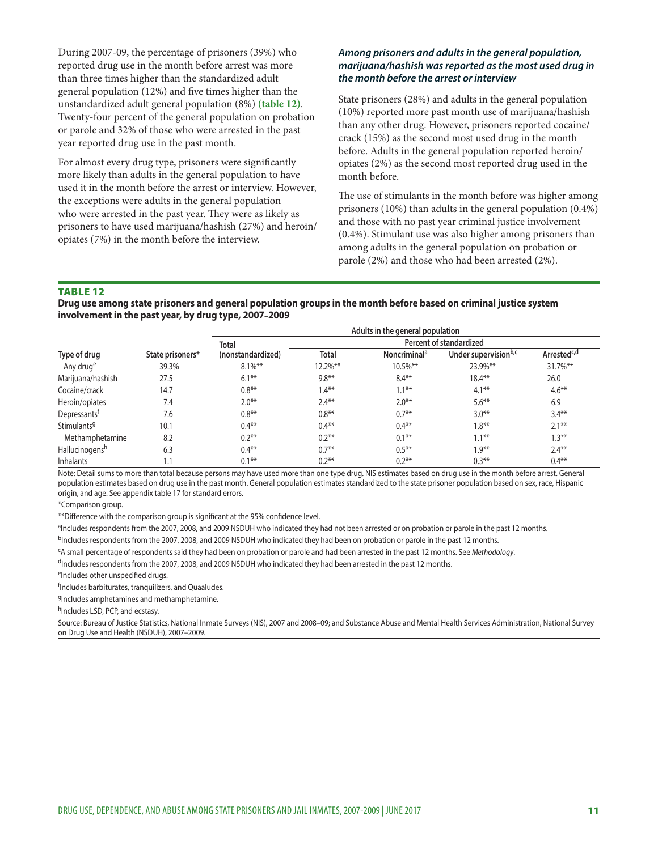During 2007-09, the percentage of prisoners (39%) who reported drug use in the month before arrest was more than three times higher than the standardized adult general population (12%) and five times higher than the unstandardized adult general population (8%) **(table 12)**. Twenty-four percent of the general population on probation or parole and 32% of those who were arrested in the past year reported drug use in the past month.

For almost every drug type, prisoners were significantly more likely than adults in the general population to have used it in the month before the arrest or interview. However, the exceptions were adults in the general population who were arrested in the past year. They were as likely as prisoners to have used marijuana/hashish (27%) and heroin/ opiates (7%) in the month before the interview.

#### *Among prisoners and adults in the general population, marijuana/hashish was reported as the most used drug in the month before the arrest or interview*

State prisoners (28%) and adults in the general population (10%) reported more past month use of marijuana/hashish than any other drug. However, prisoners reported cocaine/ crack (15%) as the second most used drug in the month before. Adults in the general population reported heroin/ opiates (2%) as the second most reported drug used in the month before.

The use of stimulants in the month before was higher among prisoners (10%) than adults in the general population (0.4%) and those with no past year criminal justice involvement (0.4%). Stimulant use was also higher among prisoners than among adults in the general population on probation or parole (2%) and those who had been arrested (2%).

#### **TABLE 12**

**Drug use among state prisoners and general population groups in the month before based on criminal justice system involvement in the past year, by drug type, 2007–2009**

|                          |                  | Adults in the general population |                         |                          |                                  |                         |
|--------------------------|------------------|----------------------------------|-------------------------|--------------------------|----------------------------------|-------------------------|
|                          |                  | Total                            | Percent of standardized |                          |                                  |                         |
| Type of drug             | State prisoners* | (nonstandardized)                | Total                   | Noncriminal <sup>a</sup> | Under supervision <sup>b,c</sup> | Arrested <sup>c,d</sup> |
| Any drug <sup>e</sup>    | 39.3%            | $8.1\%$ **                       | 12.2%**                 | $10.5\%$ **              | 23.9%**                          | 31.7%**                 |
| Marijuana/hashish        | 27.5             | $6.1***$                         | $9.8**$                 | $8.4**$                  | $18.4***$                        | 26.0                    |
| Cocaine/crack            | 14.7             | $0.8***$                         | $1.4***$                | $1.1***$                 | $4.1***$                         | $4.6***$                |
| Heroin/opiates           | 7.4              | $2.0**$                          | $2.4***$                | $2.0***$                 | $5.6***$                         | 6.9                     |
| Depressants <sup>t</sup> | 7.6              | $0.8***$                         | $0.8**$                 | $0.7**$                  | $3.0**$                          | $3.4***$                |
| Stimulants <sup>9</sup>  | 10.1             | $0.4**$                          | $0.4**$                 | $0.4***$                 | $1.8***$                         | $2.1***$                |
| Methamphetamine          | 8.2              | $0.2**$                          | $0.2***$                | $0.1***$                 | $1.1***$                         | $1.3***$                |
| Hallucinogensh           | 6.3              | $0.4**$                          | $0.7**$                 | $0.5***$                 | $1.9**$                          | $2.4***$                |
| Inhalants                | 1.1              | $0.1***$                         | $0.2**$                 | $0.2**$                  | $0.3***$                         | $0.4***$                |

Note: Detail sums to more than total because persons may have used more than one type drug. NIS estimates based on drug use in the month before arrest. General population estimates based on drug use in the past month. General population estimates standardized to the state prisoner population based on sex, race, Hispanic origin, and age. See appendix table 17 for standard errors.

\*Comparison group.

\*\*Difference with the comparison group is significant at the 95% confidence level.

aIncludes respondents from the 2007, 2008, and 2009 NSDUH who indicated they had not been arrested or on probation or parole in the past 12 months.

<sup>b</sup>Includes respondents from the 2007, 2008, and 2009 NSDUH who indicated they had been on probation or parole in the past 12 months.

cA small percentage of respondents said they had been on probation or parole and had been arrested in the past 12 months. See *Methodology*.

 $d$ Includes respondents from the 2007, 2008, and 2009 NSDUH who indicated they had been arrested in the past 12 months.

eIncludes other unspecified drugs.

<sup>f</sup>Includes barbiturates, tranquilizers, and Quaaludes.

gIncludes amphetamines and methamphetamine.

hIncludes LSD, PCP, and ecstasy.

Source: Bureau of Justice Statistics, National Inmate Surveys (NIS), 2007 and 2008–09; and Substance Abuse and Mental Health Services Administration, National Survey on Drug Use and Health (NSDUH), 2007–2009.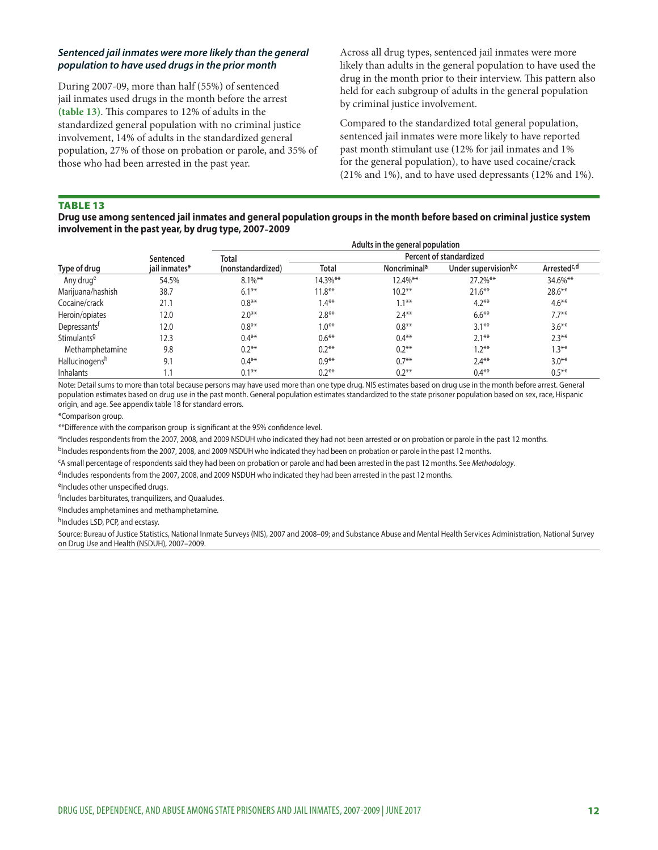#### *Sentenced jail inmates were more likely than the general population to have used drugs in the prior month*

During 2007-09, more than half (55%) of sentenced jail inmates used drugs in the month before the arrest **(table 13)**. This compares to 12% of adults in the standardized general population with no criminal justice involvement, 14% of adults in the standardized general population, 27% of those on probation or parole, and 35% of those who had been arrested in the past year.

Across all drug types, sentenced jail inmates were more likely than adults in the general population to have used the drug in the month prior to their interview. This pattern also held for each subgroup of adults in the general population by criminal justice involvement.

Compared to the standardized total general population, sentenced jail inmates were more likely to have reported past month stimulant use (12% for jail inmates and 1% for the general population), to have used cocaine/crack (21% and 1%), and to have used depressants (12% and 1%).

#### Table 13

**Drug use among sentenced jail inmates and general population groups in the month before based on criminal justice system involvement in the past year, by drug type, 2007–2009**

|                          |               | Adults in the general population |                         |                          |                                  |                         |  |  |
|--------------------------|---------------|----------------------------------|-------------------------|--------------------------|----------------------------------|-------------------------|--|--|
| Type of drug             | Sentenced     | Total                            | Percent of standardized |                          |                                  |                         |  |  |
|                          | jail inmates* | (nonstandardized)                | Total                   | Noncriminal <sup>a</sup> | Under supervision <sup>b,c</sup> | Arrested <sup>c,d</sup> |  |  |
| Any druge                | 54.5%         | $8.1\%$ **                       | 14.3%**                 | 12.4%**                  | 27.2%**                          | 34.6%**                 |  |  |
| Marijuana/hashish        | 38.7          | $6.1***$                         | $11.8***$               | $10.2***$                | $21.6***$                        | $28.6***$               |  |  |
| Cocaine/crack            | 21.1          | $0.8***$                         | $1.4***$                | $1.1***$                 | $4.2**$                          | $4.6***$                |  |  |
| Heroin/opiates           | 12.0          | $2.0***$                         | $2.8***$                | $2.4***$                 | $6.6***$                         | $7.7**$                 |  |  |
| Depressants <sup>t</sup> | 12.0          | $0.8**$                          | $1.0***$                | $0.8***$                 | $3.1***$                         | $3.6***$                |  |  |
| Stimulants <sup>g</sup>  | 12.3          | $0.4**$                          | $0.6***$                | $0.4**$                  | $2.1***$                         | $2.3***$                |  |  |
| Methamphetamine          | 9.8           | $0.2**$                          | $0.2**$                 | $0.2***$                 | $1.2***$                         | $1.3***$                |  |  |
| Hallucinogensh           | 9.1           | $0.4**$                          | $0.9**$                 | $0.7**$                  | $2.4***$                         | $3.0**$                 |  |  |
| <b>Inhalants</b>         |               | $0.1***$                         | $0.2**$                 | $0.2**$                  | $0.4***$                         | $0.5***$                |  |  |

Note: Detail sums to more than total because persons may have used more than one type drug. NIS estimates based on drug use in the month before arrest. General population estimates based on drug use in the past month. General population estimates standardized to the state prisoner population based on sex, race, Hispanic origin, and age. See appendix table 18 for standard errors.

\*Comparison group.

\*\*Difference with the comparison group is significant at the 95% confidence level.

aIncludes respondents from the 2007, 2008, and 2009 NSDUH who indicated they had not been arrested or on probation or parole in the past 12 months. bIncludes respondents from the 2007, 2008, and 2009 NSDUH who indicated they had been on probation or parole in the past 12 months.

cA small percentage of respondents said they had been on probation or parole and had been arrested in the past 12 months. See *Methodology*.

<sup>d</sup>Includes respondents from the 2007, 2008, and 2009 NSDUH who indicated they had been arrested in the past 12 months.

eIncludes other unspecified drugs.

f Includes barbiturates, tranquilizers, and Quaaludes.

gIncludes amphetamines and methamphetamine.

hIncludes LSD, PCP, and ecstasy.

Source: Bureau of Justice Statistics, National Inmate Surveys (NIS), 2007 and 2008–09; and Substance Abuse and Mental Health Services Administration, National Survey on Drug Use and Health (NSDUH), 2007–2009.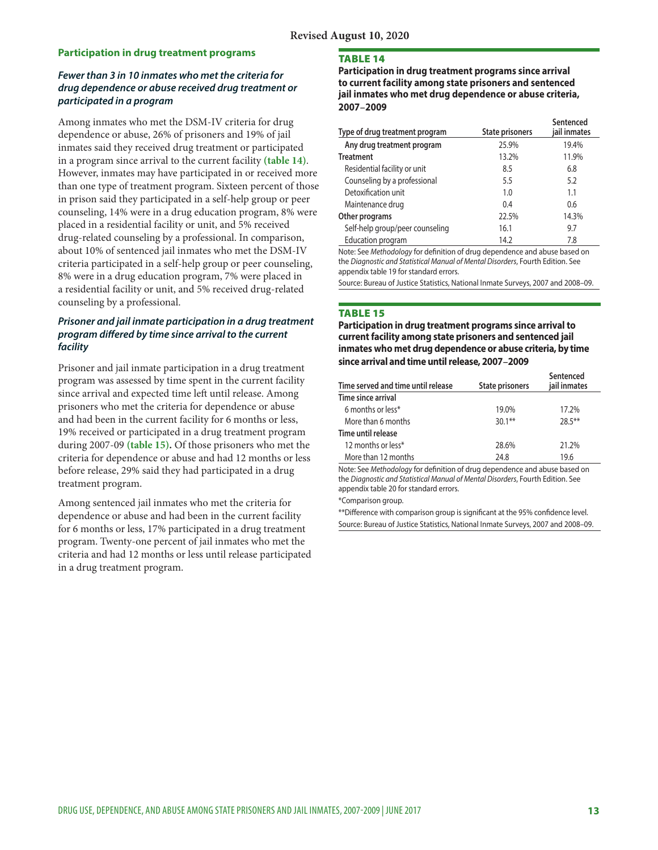#### **Participation in drug treatment programs**

#### *Fewer than 3 in 10 inmates who met the criteria for drug dependence or abuse received drug treatment or participated in a program*

Among inmates who met the DSM-IV criteria for drug dependence or abuse, 26% of prisoners and 19% of jail inmates said they received drug treatment or participated in a program since arrival to the current facility **(table 14)**. However, inmates may have participated in or received more than one type of treatment program. Sixteen percent of those in prison said they participated in a self-help group or peer counseling, 14% were in a drug education program, 8% were placed in a residential facility or unit, and 5% received drug-related counseling by a professional. In comparison, about 10% of sentenced jail inmates who met the DSM-IV criteria participated in a self-help group or peer counseling, 8% were in a drug education program, 7% were placed in a residential facility or unit, and 5% received drug-related counseling by a professional.

### *Prisoner and jail inmate participation in a drug treatment program differed by time since arrival to the current facility*

Prisoner and jail inmate participation in a drug treatment program was assessed by time spent in the current facility since arrival and expected time left until release. Among prisoners who met the criteria for dependence or abuse and had been in the current facility for 6 months or less, 19% received or participated in a drug treatment program during 2007-09 **(table 15).** Of those prisoners who met the criteria for dependence or abuse and had 12 months or less before release, 29% said they had participated in a drug treatment program.

Among sentenced jail inmates who met the criteria for dependence or abuse and had been in the current facility for 6 months or less, 17% participated in a drug treatment program. Twenty-one percent of jail inmates who met the criteria and had 12 months or less until release participated in a drug treatment program.

#### **TABLE 14**

**Participation in drug treatment programs since arrival to current facility among state prisoners and sentenced jail inmates who met drug dependence or abuse criteria, 2007–2009**

| Type of drug treatment program  | <b>State prisoners</b> | Sentenced<br>jail inmates |
|---------------------------------|------------------------|---------------------------|
| Any drug treatment program      | 25.9%                  | 19.4%                     |
| <b>Treatment</b>                | 13.2%                  | 11.9%                     |
| Residential facility or unit    | 8.5                    | 6.8                       |
| Counseling by a professional    | 5.5                    | 5.2                       |
| Detoxification unit             | 1.0                    | 1.1                       |
| Maintenance drug                | 0.4                    | 0.6                       |
| Other programs                  | 22.5%                  | 14.3%                     |
| Self-help group/peer counseling | 16.1                   | 9.7                       |
| Education program               | 14.2                   | 7.8                       |

Note: See *Methodology* for definition of drug dependence and abuse based on the *Diagnostic and Statistical Manual of Mental Disorders*, Fourth Edition. See appendix table 19 for standard errors.

Source: Bureau of Justice Statistics, National Inmate Surveys, 2007 and 2008–09.

#### Table 15

**Participation in drug treatment programs since arrival to current facility among state prisoners and sentenced jail inmates who met drug dependence or abuse criteria, by time since arrival and time until release, 2007–2009**

| Time served and time until release | State prisoners | Sentenced<br>jail inmates |
|------------------------------------|-----------------|---------------------------|
| Time since arrival                 |                 |                           |
| 6 months or less*                  | 19.0%           | 17.2%                     |
| More than 6 months                 | $30.1**$        | $28.5***$                 |
| Time until release                 |                 |                           |
| 12 months or less*                 | 28.6%           | 21.2%                     |
| More than 12 months                | 24.8            | 19.6                      |

Note: See *Methodology* for definition of drug dependence and abuse based on the *Diagnostic and Statistical Manual of Mental Disorders*, Fourth Edition. See appendix table 20 for standard errors.

\*Comparison group.

\*\*Difference with comparison group is significant at the 95% confidence level. Source: Bureau of Justice Statistics, National Inmate Surveys, 2007 and 2008–09.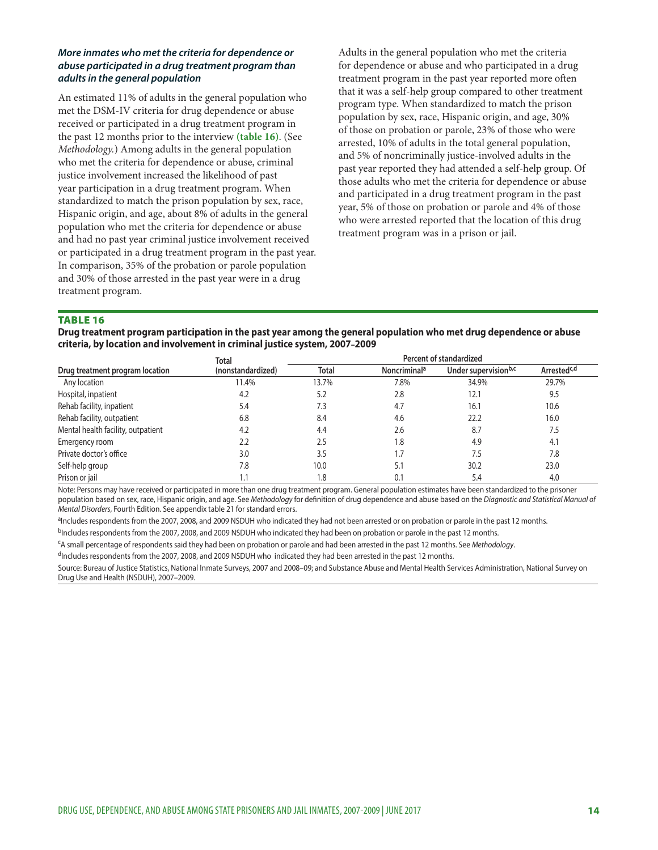#### *More inmates who met the criteria for dependence or abuse participated in a drug treatment program than adults in the general population*

An estimated 11% of adults in the general population who met the DSM-IV criteria for drug dependence or abuse received or participated in a drug treatment program in the past 12 months prior to the interview **(table 16)**. (See *Methodology.*) Among adults in the general population who met the criteria for dependence or abuse, criminal justice involvement increased the likelihood of past year participation in a drug treatment program. When standardized to match the prison population by sex, race, Hispanic origin, and age, about 8% of adults in the general population who met the criteria for dependence or abuse and had no past year criminal justice involvement received or participated in a drug treatment program in the past year. In comparison, 35% of the probation or parole population and 30% of those arrested in the past year were in a drug treatment program.

Adults in the general population who met the criteria for dependence or abuse and who participated in a drug treatment program in the past year reported more often that it was a self-help group compared to other treatment program type. When standardized to match the prison population by sex, race, Hispanic origin, and age, 30% of those on probation or parole, 23% of those who were arrested, 10% of adults in the total general population, and 5% of noncriminally justice-involved adults in the past year reported they had attended a self-help group. Of those adults who met the criteria for dependence or abuse and participated in a drug treatment program in the past year, 5% of those on probation or parole and 4% of those who were arrested reported that the location of this drug treatment program was in a prison or jail.

#### Table 16

**Drug treatment program participation in the past year among the general population who met drug dependence or abuse criteria, by location and involvement in criminal justice system, 2007–2009**

|                                    | Total             | Percent of standardized |                          |                                  |                         |  |
|------------------------------------|-------------------|-------------------------|--------------------------|----------------------------------|-------------------------|--|
| Drug treatment program location    | (nonstandardized) | <b>Total</b>            | Noncriminal <sup>a</sup> | Under supervision <sup>b,c</sup> | Arrested <sup>c,d</sup> |  |
| Any location                       | 11.4%             | 13.7%                   | 7.8%                     | 34.9%                            | 29.7%                   |  |
| Hospital, inpatient                | 4.2               | 5.2                     | 2.8                      | 12.1                             | 9.5                     |  |
| Rehab facility, inpatient          | 5.4               | 7.3                     | 4.7                      | 16.1                             | 10.6                    |  |
| Rehab facility, outpatient         | 6.8               | 8.4                     | 4.6                      | 22.2                             | 16.0                    |  |
| Mental health facility, outpatient | 4.2               | 4.4                     | 2.6                      | 8.7                              | 7.5                     |  |
| Emergency room                     | 2.2               | 2.5                     | 1.8                      | 4.9                              | 4.1                     |  |
| Private doctor's office            | 3.0               | 3.5                     |                          | 7.5                              | 7.8                     |  |
| Self-help group                    | 7.8               | 10.0                    | 5.1                      | 30.2                             | 23.0                    |  |
| Prison or jail                     |                   | 1.8                     | 0.1                      | 5.4                              | 4.0                     |  |

Note: Persons may have received or participated in more than one drug treatment program. General population estimates have been standardized to the prisoner population based on sex, race, Hispanic origin, and age. See *Methodology* for definition of drug dependence and abuse based on the *Diagnostic and Statistical Manual of Mental Disorders*, Fourth Edition. See appendix table 21 for standard errors.

<sup>a</sup>Includes respondents from the 2007, 2008, and 2009 NSDUH who indicated they had not been arrested or on probation or parole in the past 12 months.

bIncludes respondents from the 2007, 2008, and 2009 NSDUH who indicated they had been on probation or parole in the past 12 months.

cA small percentage of respondents said they had been on probation or parole and had been arrested in the past 12 months. See *Methodology*.

<sup>d</sup>Includes respondents from the 2007, 2008, and 2009 NSDUH who indicated they had been arrested in the past 12 months.

Source: Bureau of Justice Statistics, National Inmate Surveys, 2007 and 2008–09; and Substance Abuse and Mental Health Services Administration, National Survey on Drug Use and Health (NSDUH), 2007–2009.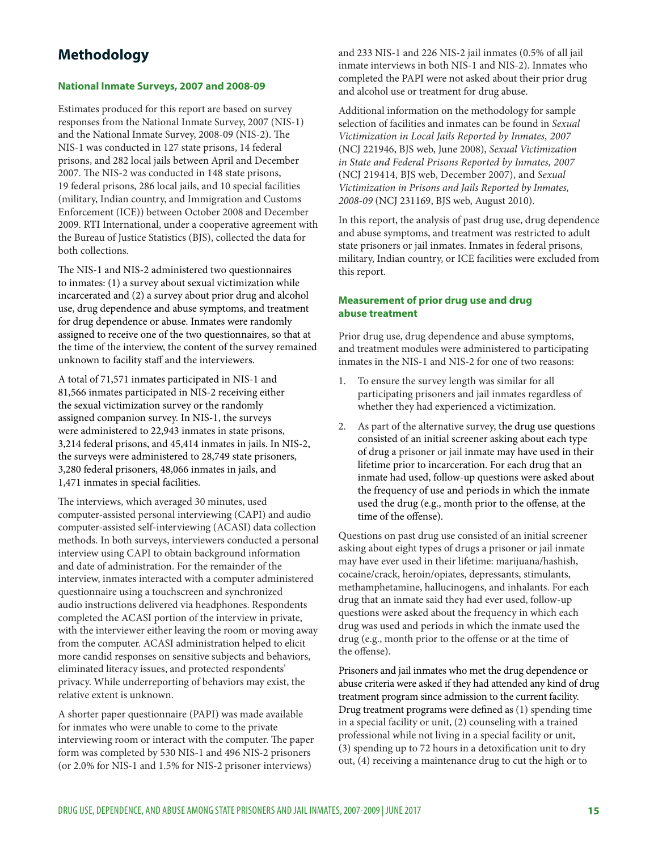# **Methodology**

#### **National Inmate Surveys, 2007 and 2008-09**

Estimates produced for this report are based on survey responses from the National Inmate Survey, 2007 (NIS-1) and the National Inmate Survey, 2008-09 (NIS-2). The NIS-1 was conducted in 127 state prisons, 14 federal prisons, and 282 local jails between April and December 2007. The NIS-2 was conducted in 148 state prisons, 19 federal prisons, 286 local jails, and 10 special facilities (military, Indian country, and Immigration and Customs Enforcement (ICE)) between October 2008 and December 2009. RTI International, under a cooperative agreement with the Bureau of Justice Statistics (BJS), collected the data for both collections.

The NIS-1 and NIS-2 administered two questionnaires to inmates: (1) a survey about sexual victimization while incarcerated and (2) a survey about prior drug and alcohol use, drug dependence and abuse symptoms, and treatment for drug dependence or abuse. Inmates were randomly assigned to receive one of the two questionnaires, so that at the time of the interview, the content of the survey remained unknown to facility staff and the interviewers.

A total of 71,571 inmates participated in NIS-1 and 81,566 inmates participated in NIS-2 receiving either the sexual victimization survey or the randomly assigned companion survey. In NIS-1, the surveys were administered to 22,943 inmates in state prisons, 3,214 federal prisons, and 45,414 inmates in jails. In NIS-2, the surveys were administered to 28,749 state prisoners, 3,280 federal prisoners, 48,066 inmates in jails, and 1,471 inmates in special facilities.

The interviews, which averaged 30 minutes, used computer-assisted personal interviewing (CAPI) and audio computer-assisted self-interviewing (ACASI) data collection methods. In both surveys, interviewers conducted a personal interview using CAPI to obtain background information and date of administration. For the remainder of the interview, inmates interacted with a computer administered questionnaire using a touchscreen and synchronized audio instructions delivered via headphones. Respondents completed the ACASI portion of the interview in private, with the interviewer either leaving the room or moving away from the computer. ACASI administration helped to elicit more candid responses on sensitive subjects and behaviors, eliminated literacy issues, and protected respondents' privacy. While underreporting of behaviors may exist, the relative extent is unknown.

A shorter paper questionnaire (PAPI) was made available for inmates who were unable to come to the private interviewing room or interact with the computer. The paper form was completed by 530 NIS-1 and 496 NIS-2 prisoners (or 2.0% for NIS-1 and 1.5% for NIS-2 prisoner interviews)

and 233 NIS-1 and 226 NIS-2 jail inmates (0.5% of all jail inmate interviews in both NIS-1 and NIS-2). Inmates who completed the PAPI were not asked about their prior drug and alcohol use or treatment for drug abuse.

Additional information on the methodology for sample selection of facilities and inmates can be found in *Sexual Victimization in Local Jails Reported by Inmates, 2007* (NCJ 221946, BJS web, June 2008), *Sexual Victimization in State and Federal Prisons Reported by Inmates, 2007* (NCJ 219414, BJS web, December 2007), and *Sexual Victimization in Prisons and Jails Reported by Inmates, 2008-09* (NCJ 231169, BJS web, August 2010).

In this report, the analysis of past drug use, drug dependence and abuse symptoms, and treatment was restricted to adult state prisoners or jail inmates. Inmates in federal prisons, military, Indian country, or ICE facilities were excluded from this report.

#### **Measurement of prior drug use and drug abuse treatment**

Prior drug use, drug dependence and abuse symptoms, and treatment modules were administered to participating inmates in the NIS-1 and NIS-2 for one of two reasons:

- 1. To ensure the survey length was similar for all participating prisoners and jail inmates regardless of whether they had experienced a victimization.
- 2. As part of the alternative survey, the drug use questions consisted of an initial screener asking about each type of drug a prisoner or jail inmate may have used in their lifetime prior to incarceration. For each drug that an inmate had used, follow-up questions were asked about the frequency of use and periods in which the inmate used the drug (e.g., month prior to the offense, at the time of the offense).

Questions on past drug use consisted of an initial screener asking about eight types of drugs a prisoner or jail inmate may have ever used in their lifetime: marijuana/hashish, cocaine/crack, heroin/opiates, depressants, stimulants, methamphetamine, hallucinogens, and inhalants. For each drug that an inmate said they had ever used, follow-up questions were asked about the frequency in which each drug was used and periods in which the inmate used the drug (e.g., month prior to the offense or at the time of the offense).

Prisoners and jail inmates who met the drug dependence or abuse criteria were asked if they had attended any kind of drug treatment program since admission to the current facility. Drug treatment programs were defined as (1) spending time in a special facility or unit, (2) counseling with a trained professional while not living in a special facility or unit, (3) spending up to 72 hours in a detoxification unit to dry out, (4) receiving a maintenance drug to cut the high or to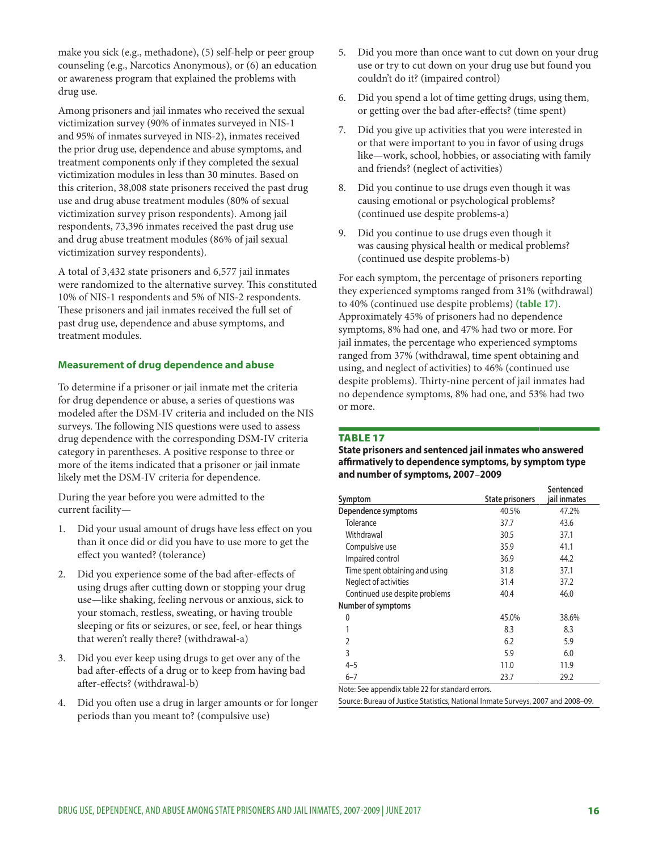make you sick (e.g., methadone), (5) self-help or peer group counseling (e.g., Narcotics Anonymous), or (6) an education or awareness program that explained the problems with drug use.

Among prisoners and jail inmates who received the sexual victimization survey (90% of inmates surveyed in NIS-1 and 95% of inmates surveyed in NIS-2), inmates received the prior drug use, dependence and abuse symptoms, and treatment components only if they completed the sexual victimization modules in less than 30 minutes. Based on this criterion, 38,008 state prisoners received the past drug use and drug abuse treatment modules (80% of sexual victimization survey prison respondents). Among jail respondents, 73,396 inmates received the past drug use and drug abuse treatment modules (86% of jail sexual victimization survey respondents).

A total of 3,432 state prisoners and 6,577 jail inmates were randomized to the alternative survey. This constituted 10% of NIS-1 respondents and 5% of NIS-2 respondents. These prisoners and jail inmates received the full set of past drug use, dependence and abuse symptoms, and treatment modules.

#### **Measurement of drug dependence and abuse**

To determine if a prisoner or jail inmate met the criteria for drug dependence or abuse, a series of questions was modeled after the DSM-IV criteria and included on the NIS surveys. The following NIS questions were used to assess drug dependence with the corresponding DSM-IV criteria category in parentheses. A positive response to three or more of the items indicated that a prisoner or jail inmate likely met the DSM-IV criteria for dependence.

During the year before you were admitted to the current facility—

- 1. Did your usual amount of drugs have less effect on you than it once did or did you have to use more to get the effect you wanted? (tolerance)
- 2. Did you experience some of the bad after-effects of using drugs after cutting down or stopping your drug use—like shaking, feeling nervous or anxious, sick to your stomach, restless, sweating, or having trouble sleeping or fits or seizures, or see, feel, or hear things that weren't really there? (withdrawal-a)
- 3. Did you ever keep using drugs to get over any of the bad after-effects of a drug or to keep from having bad after-effects? (withdrawal-b)
- 4. Did you often use a drug in larger amounts or for longer periods than you meant to? (compulsive use)
- 5. Did you more than once want to cut down on your drug use or try to cut down on your drug use but found you couldn't do it? (impaired control)
- 6. Did you spend a lot of time getting drugs, using them, or getting over the bad after-effects? (time spent)
- 7. Did you give up activities that you were interested in or that were important to you in favor of using drugs like—work, school, hobbies, or associating with family and friends? (neglect of activities)
- 8. Did you continue to use drugs even though it was causing emotional or psychological problems? (continued use despite problems-a)
- 9. Did you continue to use drugs even though it was causing physical health or medical problems? (continued use despite problems-b)

For each symptom, the percentage of prisoners reporting they experienced symptoms ranged from 31% (withdrawal) to 40% (continued use despite problems) **(table 17)**. Approximately 45% of prisoners had no dependence symptoms, 8% had one, and 47% had two or more. For jail inmates, the percentage who experienced symptoms ranged from 37% (withdrawal, time spent obtaining and using, and neglect of activities) to 46% (continued use despite problems). Thirty-nine percent of jail inmates had no dependence symptoms, 8% had one, and 53% had two or more.

#### Table 17

**State prisoners and sentenced jail inmates who answered affirmatively to dependence symptoms, by symptom type and number of symptoms, 2007–2009**

| Symptom                        | <b>State prisoners</b> | Sentenced<br>jail inmates |
|--------------------------------|------------------------|---------------------------|
| Dependence symptoms            | 40.5%                  | 47.2%                     |
| Tolerance                      | 37.7                   | 43.6                      |
| Withdrawal                     | 30.5                   | 37.1                      |
| Compulsive use                 | 35.9                   | 41.1                      |
| Impaired control               | 36.9                   | 44.2                      |
| Time spent obtaining and using | 31.8                   | 37.1                      |
| Neglect of activities          | 31.4                   | 37.2                      |
| Continued use despite problems | 40.4                   | 46.0                      |
| Number of symptoms             |                        |                           |
| 0                              | 45.0%                  | 38.6%                     |
| 1                              | 8.3                    | 8.3                       |
| $\overline{2}$                 | 6.2                    | 5.9                       |
| 3                              | 5.9                    | 6.0                       |
| 4–5                            | 11.0                   | 11.9                      |
| $6 - 7$<br>.                   | 23.7                   | 29.2                      |

Note: See appendix table 22 for standard errors.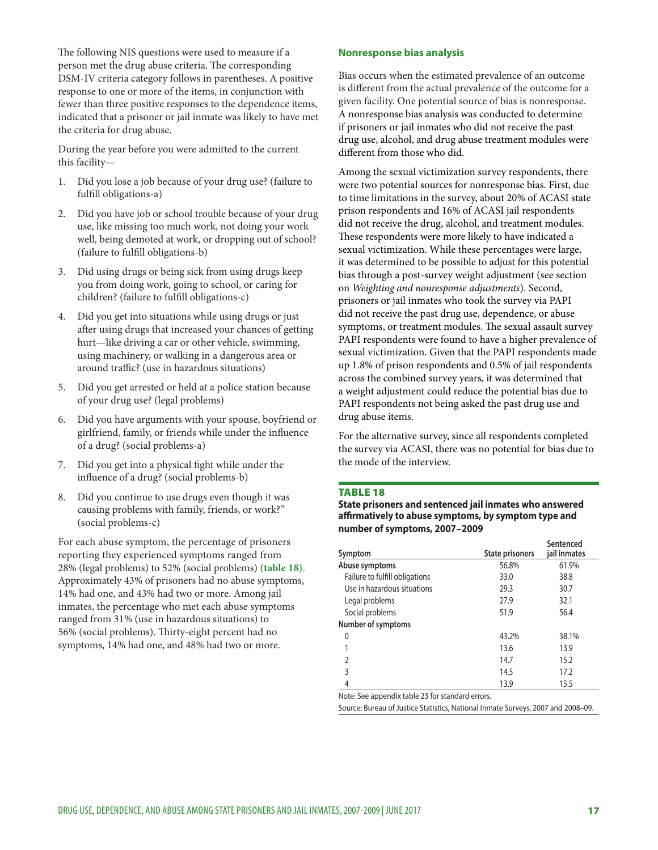The following NIS questions were used to measure if a person met the drug abuse criteria. The corresponding DSM-IV criteria category follows in parentheses. A positive response to one or more of the items, in conjunction with fewer than three positive responses to the dependence items, indicated that a prisoner or jail inmate was likely to have met the criteria for drug abuse.

During the year before you were admitted to the current this facility—

- 1. Did you lose a job because of your drug use? (failure to fulfill obligations-a)
- 2. Did you have job or school trouble because of your drug use, like missing too much work, not doing your work well, being demoted at work, or dropping out of school? (failure to fulfill obligations-b)
- 3. Did using drugs or being sick from using drugs keep you from doing work, going to school, or caring for children? (failure to fulfill obligations-c)
- Did you get into situations while using drugs or just after using drugs that increased your chances of getting hurt—like driving a car or other vehicle, swimming, using machinery, or walking in a dangerous area or around traffic? (use in hazardous situations)
- 5. Did you get arrested or held at a police station because of your drug use? (legal problems)
- 6. Did you have arguments with your spouse, boyfriend or girlfriend, family, or friends while under the influence of a drug? (social problems-a)
- 7. Did you get into a physical fight while under the influence of a drug? (social problems-b)
- 8. Did you continue to use drugs even though it was causing problems with family, friends, or work?" (social problems-c)

For each abuse symptom, the percentage of prisoners reporting they experienced symptoms ranged from 28% (legal problems) to 52% (social problems) **(table 18)**. Approximately 43% of prisoners had no abuse symptoms, 14% had one, and 43% had two or more. Among jail inmates, the percentage who met each abuse symptoms ranged from 31% (use in hazardous situations) to 56% (social problems). Thirty-eight percent had no symptoms, 14% had one, and 48% had two or more.

#### **Nonresponse bias analysis**

Bias occurs when the estimated prevalence of an outcome is different from the actual prevalence of the outcome for a given facility. One potential source of bias is nonresponse. A nonresponse bias analysis was conducted to determine if prisoners or jail inmates who did not receive the past drug use, alcohol, and drug abuse treatment modules were different from those who did.

Among the sexual victimization survey respondents, there were two potential sources for nonresponse bias. First, due to time limitations in the survey, about 20% of ACASI state prison respondents and 16% of ACASI jail respondents did not receive the drug, alcohol, and treatment modules. These respondents were more likely to have indicated a sexual victimization. While these percentages were large, it was determined to be possible to adjust for this potential bias through a post-survey weight adjustment (see section on *Weighting and nonresponse adjustments*). Second, prisoners or jail inmates who took the survey via PAPI did not receive the past drug use, dependence, or abuse symptoms, or treatment modules. The sexual assault survey PAPI respondents were found to have a higher prevalence of sexual victimization. Given that the PAPI respondents made up 1.8% of prison respondents and 0.5% of jail respondents across the combined survey years, it was determined that a weight adjustment could reduce the potential bias due to PAPI respondents not being asked the past drug use and drug abuse items.

For the alternative survey, since all respondents completed the survey via ACASI, there was no potential for bias due to the mode of the interview.

#### **TABLE 18**

**State prisoners and sentenced jail inmates who answered affirmatively to abuse symptoms, by symptom type and number of symptoms, 2007–2009**

| Symptom                        | <b>State prisoners</b> | Sentenced<br>jail inmates |
|--------------------------------|------------------------|---------------------------|
| Abuse symptoms                 | 56.8%                  | 61.9%                     |
| Failure to fulfill obligations | 33.0                   | 38.8                      |
| Use in hazardous situations    | 29.3                   | 30.7                      |
| Legal problems                 | 27.9                   | 32.1                      |
| Social problems                | 51.9                   | 56.4                      |
| Number of symptoms             |                        |                           |
| 0                              | 43.2%                  | 38.1%                     |
|                                | 13.6                   | 13.9                      |
| $\mathfrak z$                  | 14.7                   | 15.2                      |
| 3                              | 14.5                   | 17.2                      |
| 4                              | 13.9                   | 15.5                      |

Note: See appendix table 23 for standard errors.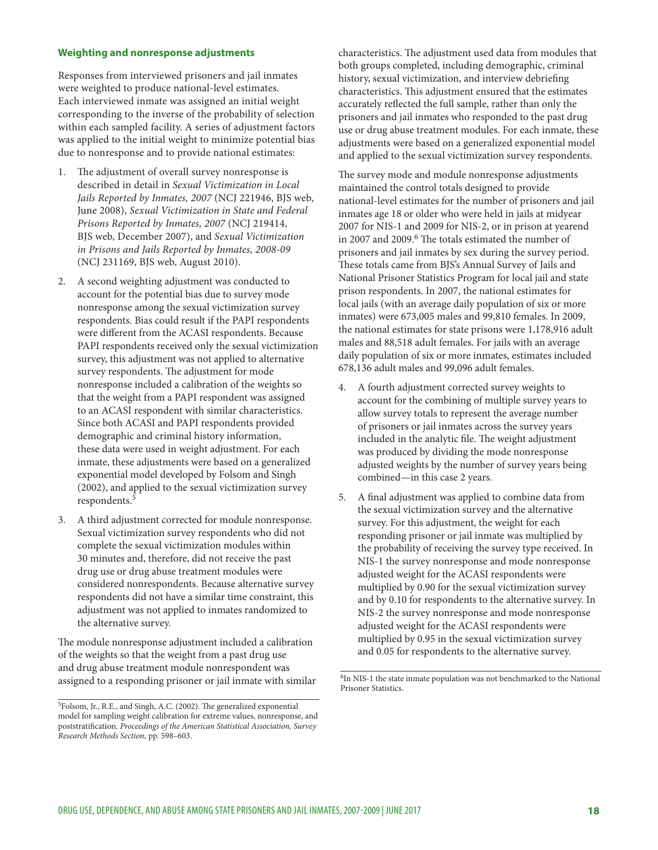#### **Weighting and nonresponse adjustments**

Responses from interviewed prisoners and jail inmates were weighted to produce national-level estimates. Each interviewed inmate was assigned an initial weight corresponding to the inverse of the probability of selection within each sampled facility. A series of adjustment factors was applied to the initial weight to minimize potential bias due to nonresponse and to provide national estimates:

- The adjustment of overall survey nonresponse is described in detail in *Sexual Victimization in Local Jails Reported by Inmates, 2007* (NCJ 221946, BJS web, June 2008), *Sexual Victimization in State and Federal Prisons Reported by Inmates, 2007* (NCJ 219414, BJS web, December 2007), and *Sexual Victimization in Prisons and Jails Reported by Inmates, 2008-09* (NCJ 231169, BJS web, August 2010).
- 2. A second weighting adjustment was conducted to account for the potential bias due to survey mode nonresponse among the sexual victimization survey respondents. Bias could result if the PAPI respondents were different from the ACASI respondents. Because PAPI respondents received only the sexual victimization survey, this adjustment was not applied to alternative survey respondents. The adjustment for mode nonresponse included a calibration of the weights so that the weight from a PAPI respondent was assigned to an ACASI respondent with similar characteristics. Since both ACASI and PAPI respondents provided demographic and criminal history information, these data were used in weight adjustment. For each inmate, these adjustments were based on a generalized exponential model developed by Folsom and Singh (2002), and applied to the sexual victimization survey respondents.<sup>5</sup>
- 3. A third adjustment corrected for module nonresponse. Sexual victimization survey respondents who did not complete the sexual victimization modules within 30 minutes and, therefore, did not receive the past drug use or drug abuse treatment modules were considered nonrespondents. Because alternative survey respondents did not have a similar time constraint, this adjustment was not applied to inmates randomized to the alternative survey.

The module nonresponse adjustment included a calibration of the weights so that the weight from a past drug use and drug abuse treatment module nonrespondent was assigned to a responding prisoner or jail inmate with similar characteristics. The adjustment used data from modules that both groups completed, including demographic, criminal history, sexual victimization, and interview debriefing characteristics. This adjustment ensured that the estimates accurately reflected the full sample, rather than only the prisoners and jail inmates who responded to the past drug use or drug abuse treatment modules. For each inmate, these adjustments were based on a generalized exponential model and applied to the sexual victimization survey respondents.

The survey mode and module nonresponse adjustments maintained the control totals designed to provide national-level estimates for the number of prisoners and jail inmates age 18 or older who were held in jails at midyear 2007 for NIS-1 and 2009 for NIS-2, or in prison at yearend in 2007 and 2009.<sup>6</sup> The totals estimated the number of prisoners and jail inmates by sex during the survey period. These totals came from BJS's Annual Survey of Jails and National Prisoner Statistics Program for local jail and state prison respondents. In 2007, the national estimates for local jails (with an average daily population of six or more inmates) were 673,005 males and 99,810 females. In 2009, the national estimates for state prisons were 1,178,916 adult males and 88,518 adult females. For jails with an average daily population of six or more inmates, estimates included 678,136 adult males and 99,096 adult females.

- 4. A fourth adjustment corrected survey weights to account for the combining of multiple survey years to allow survey totals to represent the average number of prisoners or jail inmates across the survey years included in the analytic file. The weight adjustment was produced by dividing the mode nonresponse adjusted weights by the number of survey years being combined—in this case 2 years.
- 5. A final adjustment was applied to combine data from the sexual victimization survey and the alternative survey. For this adjustment, the weight for each responding prisoner or jail inmate was multiplied by the probability of receiving the survey type received. In NIS-1 the survey nonresponse and mode nonresponse adjusted weight for the ACASI respondents were multiplied by 0.90 for the sexual victimization survey and by 0.10 for respondents to the alternative survey. In NIS-2 the survey nonresponse and mode nonresponse adjusted weight for the ACASI respondents were multiplied by 0.95 in the sexual victimization survey and 0.05 for respondents to the alternative survey.

<sup>5</sup>Folsom, Jr., R.E., and Singh, A.C. (2002). The generalized exponential model for sampling weight calibration for extreme values, nonresponse, and poststratification. *Proceedings of the American Statistical Association, Survey Research Methods Section,* pp. 598–603.

<sup>&</sup>lt;sup>6</sup>In NIS-1 the state inmate population was not benchmarked to the National Prisoner Statistics.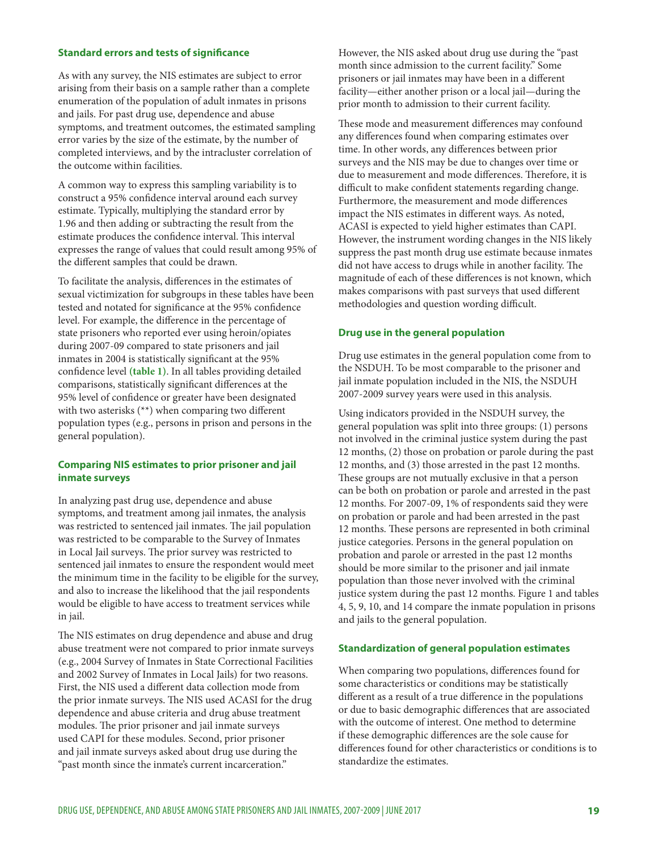#### **Standard errors and tests of significance**

As with any survey, the NIS estimates are subject to error arising from their basis on a sample rather than a complete enumeration of the population of adult inmates in prisons and jails. For past drug use, dependence and abuse symptoms, and treatment outcomes, the estimated sampling error varies by the size of the estimate, by the number of completed interviews, and by the intracluster correlation of the outcome within facilities.

A common way to express this sampling variability is to construct a 95% confidence interval around each survey estimate. Typically, multiplying the standard error by 1.96 and then adding or subtracting the result from the estimate produces the confidence interval. This interval expresses the range of values that could result among 95% of the different samples that could be drawn.

To facilitate the analysis, differences in the estimates of sexual victimization for subgroups in these tables have been tested and notated for significance at the 95% confidence level. For example, the difference in the percentage of state prisoners who reported ever using heroin/opiates during 2007-09 compared to state prisoners and jail inmates in 2004 is statistically significant at the 95% confidence level **(table 1)**. In all tables providing detailed comparisons, statistically significant differences at the 95% level of confidence or greater have been designated with two asterisks (\*\*) when comparing two different population types (e.g., persons in prison and persons in the general population).

#### **Comparing NIS estimates to prior prisoner and jail inmate surveys**

In analyzing past drug use, dependence and abuse symptoms, and treatment among jail inmates, the analysis was restricted to sentenced jail inmates. The jail population was restricted to be comparable to the Survey of Inmates in Local Jail surveys. The prior survey was restricted to sentenced jail inmates to ensure the respondent would meet the minimum time in the facility to be eligible for the survey, and also to increase the likelihood that the jail respondents would be eligible to have access to treatment services while in jail.

The NIS estimates on drug dependence and abuse and drug abuse treatment were not compared to prior inmate surveys (e.g., 2004 Survey of Inmates in State Correctional Facilities and 2002 Survey of Inmates in Local Jails) for two reasons. First, the NIS used a different data collection mode from the prior inmate surveys. The NIS used ACASI for the drug dependence and abuse criteria and drug abuse treatment modules. The prior prisoner and jail inmate surveys used CAPI for these modules. Second, prior prisoner and jail inmate surveys asked about drug use during the "past month since the inmate's current incarceration."

However, the NIS asked about drug use during the "past month since admission to the current facility." Some prisoners or jail inmates may have been in a different facility—either another prison or a local jail—during the prior month to admission to their current facility.

These mode and measurement differences may confound any differences found when comparing estimates over time. In other words, any differences between prior surveys and the NIS may be due to changes over time or due to measurement and mode differences. Therefore, it is difficult to make confident statements regarding change. Furthermore, the measurement and mode differences impact the NIS estimates in different ways. As noted, ACASI is expected to yield higher estimates than CAPI. However, the instrument wording changes in the NIS likely suppress the past month drug use estimate because inmates did not have access to drugs while in another facility. The magnitude of each of these differences is not known, which makes comparisons with past surveys that used different methodologies and question wording difficult.

#### **Drug use in the general population**

Drug use estimates in the general population come from to the NSDUH. To be most comparable to the prisoner and jail inmate population included in the NIS, the NSDUH 2007-2009 survey years were used in this analysis.

Using indicators provided in the NSDUH survey, the general population was split into three groups: (1) persons not involved in the criminal justice system during the past 12 months, (2) those on probation or parole during the past 12 months, and (3) those arrested in the past 12 months. These groups are not mutually exclusive in that a person can be both on probation or parole and arrested in the past 12 months. For 2007-09, 1% of respondents said they were on probation or parole and had been arrested in the past 12 months. These persons are represented in both criminal justice categories. Persons in the general population on probation and parole or arrested in the past 12 months should be more similar to the prisoner and jail inmate population than those never involved with the criminal justice system during the past 12 months. Figure 1 and tables 4, 5, 9, 10, and 14 compare the inmate population in prisons and jails to the general population.

#### **Standardization of general population estimates**

When comparing two populations, differences found for some characteristics or conditions may be statistically different as a result of a true difference in the populations or due to basic demographic differences that are associated with the outcome of interest. One method to determine if these demographic differences are the sole cause for differences found for other characteristics or conditions is to standardize the estimates.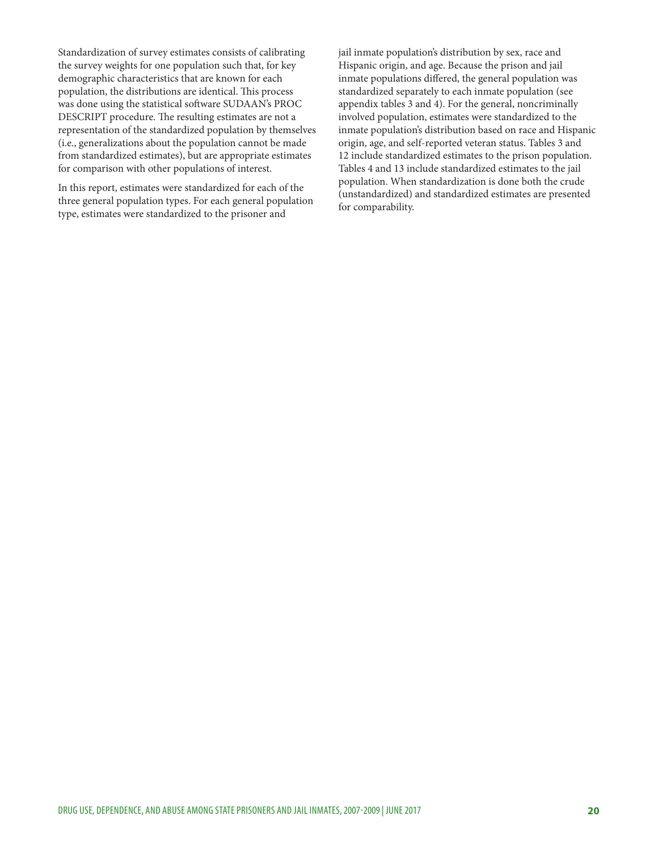Standardization of survey estimates consists of calibrating the survey weights for one population such that, for key demographic characteristics that are known for each population, the distributions are identical. This process was done using the statistical software SUDAAN's PROC DESCRIPT procedure. The resulting estimates are not a representation of the standardized population by themselves (i.e., generalizations about the population cannot be made from standardized estimates), but are appropriate estimates for comparison with other populations of interest.

In this report, estimates were standardized for each of the three general population types. For each general population type, estimates were standardized to the prisoner and

jail inmate population's distribution by sex, race and Hispanic origin, and age. Because the prison and jail inmate populations differed, the general population was standardized separately to each inmate population (see appendix tables 3 and 4). For the general, noncriminally involved population, estimates were standardized to the inmate population's distribution based on race and Hispanic origin, age, and self-reported veteran status. Tables 3 and 12 include standardized estimates to the prison population. Tables 4 and 13 include standardized estimates to the jail population. When standardization is done both the crude (unstandardized) and standardized estimates are presented for comparability.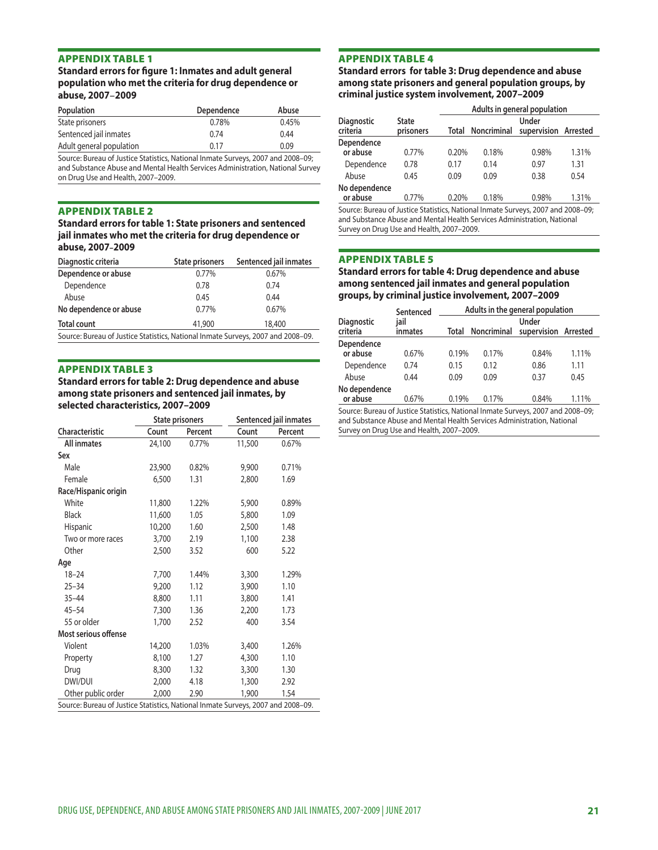#### Standard errors for figure 1: Inmates and adult general population who met the criteria for drug dependence or abuse, 2007-2009

| Population               | Dependence | Abuse |
|--------------------------|------------|-------|
| State prisoners          | 0.78%      | 0.45% |
| Sentenced jail inmates   | 0.74       | 0.44  |
| Adult general population | 0.17       | 0.09  |
|                          |            |       |

Source: Bureau of Justice Statistics, National Inmate Surveys, 2007 and 2008–09; and Substance Abuse and Mental Health Services Administration, National Survey on Drug Use and Health, 2007–2009.

#### **APPENDIX TABLE 2**

#### Standard errors for table 1: State prisoners and sentenced jail inmates who met the criteria for drug dependence or abuse, 2007-2009

| Diagnostic criteria                                                              | <b>State prisoners</b> | Sentenced jail inmates |  |  |
|----------------------------------------------------------------------------------|------------------------|------------------------|--|--|
| Dependence or abuse                                                              | 0.77%                  | 0.67%                  |  |  |
| Dependence                                                                       | 0.78                   | 0.74                   |  |  |
| Abuse                                                                            | 0.45                   | 0.44                   |  |  |
| No dependence or abuse                                                           | 0.77%                  | 0.67%                  |  |  |
| <b>Total count</b>                                                               | 41,900                 | 18,400                 |  |  |
| Source: Bureau of Justice Statistics, National Inmate Surveys, 2007 and 2008-09. |                        |                        |  |  |

#### **APPENDIX TABLE 3**

Standard errors for table 2: Drug dependence and abuse among state prisoners and sentenced jail inmates, by selected characteristics, 2007-2009

|                                                                                  | <b>State prisoners</b> |         |        | Sentenced jail inmates |  |
|----------------------------------------------------------------------------------|------------------------|---------|--------|------------------------|--|
| <b>Characteristic</b>                                                            | Count                  | Percent | Count  | Percent                |  |
| <b>All inmates</b>                                                               | 24,100                 | 0.77%   | 11,500 | 0.67%                  |  |
| Sex                                                                              |                        |         |        |                        |  |
| Male                                                                             | 23,900                 | 0.82%   | 9,900  | 0.71%                  |  |
| Female                                                                           | 6,500                  | 1.31    | 2,800  | 1.69                   |  |
| Race/Hispanic origin                                                             |                        |         |        |                        |  |
| White                                                                            | 11,800                 | 1.22%   | 5,900  | 0.89%                  |  |
| <b>Black</b>                                                                     | 11,600                 | 1.05    | 5,800  | 1.09                   |  |
| Hispanic                                                                         | 10,200                 | 1.60    | 2,500  | 1.48                   |  |
| Two or more races                                                                | 3,700                  | 2.19    | 1,100  | 2.38                   |  |
| Other                                                                            | 2,500                  | 3.52    | 600    | 5.22                   |  |
| Age                                                                              |                        |         |        |                        |  |
| $18 - 24$                                                                        | 7,700                  | 1.44%   | 3,300  | 1.29%                  |  |
| $25 - 34$                                                                        | 9,200                  | 1.12    | 3,900  | 1.10                   |  |
| $35 - 44$                                                                        | 8,800                  | 1.11    | 3,800  | 1.41                   |  |
| $45 - 54$                                                                        | 7,300                  | 1.36    | 2,200  | 1.73                   |  |
| 55 or older                                                                      | 1,700                  | 2.52    | 400    | 3.54                   |  |
| Most serious offense                                                             |                        |         |        |                        |  |
| Violent                                                                          | 14,200                 | 1.03%   | 3,400  | 1.26%                  |  |
| Property                                                                         | 8,100                  | 1.27    | 4,300  | 1.10                   |  |
| Drug                                                                             | 8,300                  | 1.32    | 3,300  | 1.30                   |  |
| DWI/DUI                                                                          | 2,000                  | 4.18    | 1,300  | 2.92                   |  |
| Other public order                                                               | 2,000                  | 2.90    | 1,900  | 1.54                   |  |
| Source: Bureau of Justice Statistics, National Inmate Surveys, 2007 and 2008-09. |                        |         |        |                        |  |

#### **APPENDIX TABLE 4**

Standard errors for table 3: Drug dependence and abuse among state prisoners and general population groups, by criminal justice system involvement, 2007-2009

|                                                                                  |                           | Adults in general population |             |                               |       |  |
|----------------------------------------------------------------------------------|---------------------------|------------------------------|-------------|-------------------------------|-------|--|
| <b>Diagnostic</b><br>criteria                                                    | <b>State</b><br>prisoners | Total                        | Noncriminal | Under<br>supervision Arrested |       |  |
| Dependence<br>or abuse                                                           | 0.77%                     | 0.20%                        | 0.18%       | 0.98%                         | 1.31% |  |
| Dependence                                                                       | 0.78                      | 0.17                         | 0.14        | 0.97                          | 1.31  |  |
| Abuse                                                                            | 0.45                      | 0.09                         | 0.09        | 0.38                          | 0.54  |  |
| No dependence<br>or abuse                                                        | 0.77%                     | 0.20%                        | 0.18%       | 0.98%                         | 1.31% |  |
| Source: Bureau of Justice Statistics, National Inmate Surveys, 2007 and 2008–09: |                           |                              |             |                               |       |  |

Source: Bureau of Justice Statistics, National Inmate Surveys, 2007 and 2008–09; and Substance Abuse and Mental Health Services Administration, National Survey on Drug Use and Health, 2007–2009.

### **APPENDIX TABLE 5**

#### Standard errors for table 4: Drug dependence and abuse among sentenced jail inmates and general population groups, by criminal justice involvement, 2007-2009

|                               | Sentenced       | Adults in the general population |             |                               |       |  |
|-------------------------------|-----------------|----------------------------------|-------------|-------------------------------|-------|--|
| <b>Diagnostic</b><br>criteria | iail<br>inmates | Total                            | Noncriminal | Under<br>supervision Arrested |       |  |
| Dependence<br>or abuse        | 0.67%           | 0.19%                            | 0.17%       | 0.84%                         | 1.11% |  |
| Dependence                    | 0.74            | 0.15                             | 0.12        | 0.86                          | 1.11  |  |
| Abuse                         | 0.44            | 0.09                             | 0.09        | 0.37                          | 0.45  |  |
| No dependence<br>or abuse     | 0.67%           | 0.19%                            | 0.17%       | 0.84%                         | 1.11% |  |
|                               | .               |                                  |             |                               | .     |  |

Source: Bureau of Justice Statistics, National Inmate Surveys, 2007 and 2008–09; and Substance Abuse and Mental Health Services Administration, National Survey on Drug Use and Health, 2007–2009.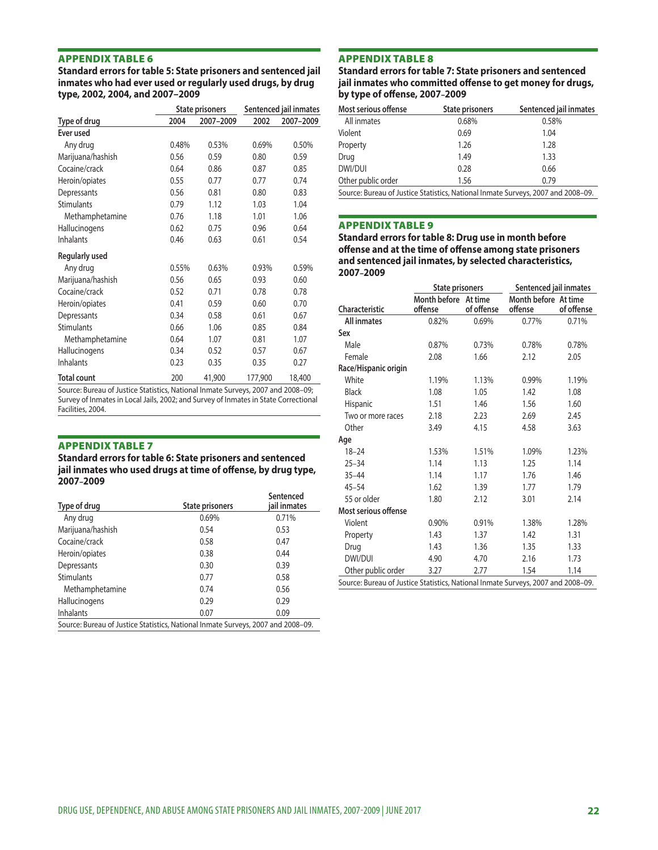Standard errors for table 5: State prisoners and sentenced jail inmates who had ever used or regularly used drugs, by drug type, 2002, 2004, and 2007-2009

|                       | State prisoners |           | Sentenced jail inmates |           |
|-----------------------|-----------------|-----------|------------------------|-----------|
| Type of drug          | 2004            | 2007-2009 | 2002                   | 2007-2009 |
| Ever used             |                 |           |                        |           |
| Any drug              | 0.48%           | 0.53%     | 0.69%                  | 0.50%     |
| Marijuana/hashish     | 0.56            | 0.59      | 0.80                   | 0.59      |
| Cocaine/crack         | 0.64            | 0.86      | 0.87                   | 0.85      |
| Heroin/opiates        | 0.55            | 0.77      | 0.77                   | 0.74      |
| Depressants           | 0.56            | 0.81      | 0.80                   | 0.83      |
| <b>Stimulants</b>     | 0.79            | 1.12      | 1.03                   | 1.04      |
| Methamphetamine       | 0.76            | 1.18      | 1.01                   | 1.06      |
| Hallucinogens         | 0.62            | 0.75      | 0.96                   | 0.64      |
| <b>Inhalants</b>      | 0.46            | 0.63      | 0.61                   | 0.54      |
| <b>Regularly used</b> |                 |           |                        |           |
| Any drug              | 0.55%           | 0.63%     | 0.93%                  | 0.59%     |
| Marijuana/hashish     | 0.56            | 0.65      | 0.93                   | 0.60      |
| Cocaine/crack         | 0.52            | 0.71      | 0.78                   | 0.78      |
| Heroin/opiates        | 0.41            | 0.59      | 0.60                   | 0.70      |
| Depressants           | 0.34            | 0.58      | 0.61                   | 0.67      |
| <b>Stimulants</b>     | 0.66            | 1.06      | 0.85                   | 0.84      |
| Methamphetamine       | 0.64            | 1.07      | 0.81                   | 1.07      |
| Hallucinogens         | 0.34            | 0.52      | 0.57                   | 0.67      |
| <b>Inhalants</b>      | 0.23            | 0.35      | 0.35                   | 0.27      |
| <b>Total count</b>    | 200             | 41,900    | 177,900                | 18,400    |

Source: Bureau of Justice Statistics, National Inmate Surveys, 2007 and 2008–09; Survey of Inmates in Local Jails, 2002; and Survey of Inmates in State Correctional Facilities, 2004.

**APPENDIX TABLE 7**<br>Standard errors for table 6: State prisoners and sentenced jail inmates who used drugs at time of offense, by drug type, 2007-2009

| Type of drug                                                                     | <b>State prisoners</b> | Sentenced<br>jail inmates |
|----------------------------------------------------------------------------------|------------------------|---------------------------|
| Any drug                                                                         | 0.69%                  | 0.71%                     |
| Marijuana/hashish                                                                | 0.54                   | 0.53                      |
| Cocaine/crack                                                                    | 0.58                   | 0.47                      |
| Heroin/opiates                                                                   | 0.38                   | 0.44                      |
| Depressants                                                                      | 0.30                   | 0.39                      |
| <b>Stimulants</b>                                                                | 0.77                   | 0.58                      |
| Methamphetamine                                                                  | 0.74                   | 0.56                      |
| Hallucinogens                                                                    | 0.29                   | 0.29                      |
| <b>Inhalants</b>                                                                 | 0.07                   | 0.09                      |
| Source: Bureau of Justice Statistics, National Inmate Surveys, 2007 and 2008–09. |                        |                           |

**APPENDIX TABLE 8**<br>Standard errors for table 7: State prisoners and sentenced jail inmates who committed offense to get money for drugs, by type of offense, 2007-2009

| Most serious offense | State prisoners                                                                  | Sentenced jail inmates |  |  |  |  |
|----------------------|----------------------------------------------------------------------------------|------------------------|--|--|--|--|
| All inmates          | 0.68%                                                                            | 0.58%                  |  |  |  |  |
| Violent              | 0.69                                                                             | 1.04                   |  |  |  |  |
| Property             | 1.26                                                                             | 1.28                   |  |  |  |  |
| Drug                 | 1.49                                                                             | 1.33                   |  |  |  |  |
| DWI/DUI              | 0.28                                                                             | 0.66                   |  |  |  |  |
| Other public order   | 1.56                                                                             | 0.79                   |  |  |  |  |
|                      | Source: Bureau of Justice Statistics, National Inmate Surveys, 2007 and 2008-09. |                        |  |  |  |  |

**APPENDIX TABLE 9<br>Standard errors for table 8: Drug use in month before** offense and at the time of offense among state prisoners and sentenced jail inmates, by selected characteristics, 2007-2009

|                                                                                  | <b>State prisoners</b>          |            | Sentenced jail inmates          |            |  |
|----------------------------------------------------------------------------------|---------------------------------|------------|---------------------------------|------------|--|
| <b>Characteristic</b>                                                            | Month before At time<br>offense | of offense | Month before At time<br>offense | of offense |  |
| <b>All inmates</b>                                                               | 0.82%                           | 0.69%      | 0.77%                           | 0.71%      |  |
| Sex                                                                              |                                 |            |                                 |            |  |
| Male                                                                             | 0.87%                           | 0.73%      | 0.78%                           | 0.78%      |  |
| Female                                                                           | 2.08                            | 1.66       | 2.12                            | 2.05       |  |
| Race/Hispanic origin                                                             |                                 |            |                                 |            |  |
| White                                                                            | 1.19%                           | 1.13%      | 0.99%                           | 1.19%      |  |
| <b>Black</b>                                                                     | 1.08                            | 1.05       | 1.42                            | 1.08       |  |
| Hispanic                                                                         | 1.51                            | 1.46       | 1.56                            | 1.60       |  |
| Two or more races                                                                | 2.18                            | 2.23       | 2.69                            | 2.45       |  |
| Other                                                                            | 3.49                            | 4.15       | 4.58                            | 3.63       |  |
| Age                                                                              |                                 |            |                                 |            |  |
| $18 - 24$                                                                        | 1.53%                           | 1.51%      | 1.09%                           | 1.23%      |  |
| $25 - 34$                                                                        | 1.14                            | 1.13       | 1.25                            | 1.14       |  |
| $35 - 44$                                                                        | 1.14                            | 1.17       | 1.76                            | 1.46       |  |
| $45 - 54$                                                                        | 1.62                            | 1.39       | 1.77                            | 1.79       |  |
| 55 or older                                                                      | 1.80                            | 2.12       | 3.01                            | 2.14       |  |
| Most serious offense                                                             |                                 |            |                                 |            |  |
| Violent                                                                          | 0.90%                           | 0.91%      | 1.38%                           | 1.28%      |  |
| Property                                                                         | 1.43                            | 1.37       | 1.42                            | 1.31       |  |
| Drug                                                                             | 1.43                            | 1.36       | 1.35                            | 1.33       |  |
| DWI/DUI                                                                          | 4.90                            | 4.70       | 2.16                            | 1.73       |  |
| Other public order                                                               | 3.27                            | 2.77       | 1.54                            | 1.14       |  |
| Source: Bureau of Justice Statistics, National Inmate Surveys, 2007 and 2008-09. |                                 |            |                                 |            |  |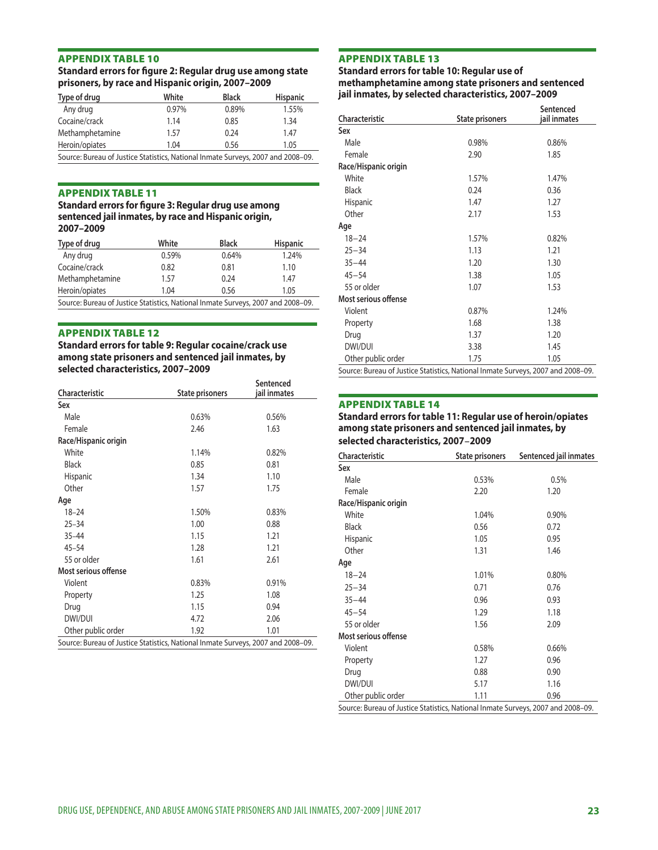#### Standard errors for figure 2: Regular drug use among state prisoners, by race and Hispanic origin, 2007-2009

| Type of drug                                                                     | White | <b>Black</b> | <b>Hispanic</b> |
|----------------------------------------------------------------------------------|-------|--------------|-----------------|
| Any drug                                                                         | 0.97% | 0.89%        | 1.55%           |
| Cocaine/crack                                                                    | 1.14  | 0.85         | 1.34            |
| Methamphetamine                                                                  | 1.57  | 0.24         | 1.47            |
| Heroin/opiates                                                                   | 1.04  | 0.56         | 1.05            |
| Source: Bureau of Justice Statistics, National Inmate Surveys, 2007 and 2008-09. |       |              |                 |

#### **APPENDIX TABLE 11**

#### Standard errors for figure 3: Regular drug use among sentenced jail inmates, by race and Hispanic origin, 2007-2009

| Type of drug                                                                    | White | <b>Black</b> | <b>Hispanic</b> |
|---------------------------------------------------------------------------------|-------|--------------|-----------------|
| Any drug                                                                        | 0.59% | 0.64%        | 1.24%           |
| Cocaine/crack                                                                   | 0.82  | 0.81         | 1.10            |
| Methamphetamine                                                                 | 1.57  | 0.24         | 1.47            |
| Heroin/opiates                                                                  | 1.04  | 0.56         | 1.05            |
| Course Pursou of Justice Statistics, National Inmate Surveys, 2007 and 2008, 00 |       |              |                 |

Source: Bureau of Justice Statistics, National Inmate Surveys, 2007 and 2008–09.

## APPENDIX TABLE 12<br>Standard errors for table 9: Regular cocaine/crack use among state prisoners and sentenced jail inmates, by selected characteristics, 2007-2009

| Characteristic                                                                   | State prisoners | Sentenced<br>jail inmates |
|----------------------------------------------------------------------------------|-----------------|---------------------------|
| Sex                                                                              |                 |                           |
| Male                                                                             | 0.63%           | 0.56%                     |
| Female                                                                           | 2.46            | 1.63                      |
| Race/Hispanic origin                                                             |                 |                           |
| White                                                                            | 1.14%           | 0.82%                     |
| <b>Black</b>                                                                     | 0.85            | 0.81                      |
| <b>Hispanic</b>                                                                  | 1.34            | 1.10                      |
| Other                                                                            | 1.57            | 1.75                      |
| Age                                                                              |                 |                           |
| $18 - 24$                                                                        | 1.50%           | 0.83%                     |
| $25 - 34$                                                                        | 1.00            | 0.88                      |
| $35 - 44$                                                                        | 1.15            | 1.21                      |
| $45 - 54$                                                                        | 1.28            | 1.21                      |
| 55 or older                                                                      | 1.61            | 2.61                      |
| Most serious offense                                                             |                 |                           |
| Violent                                                                          | 0.83%           | 0.91%                     |
| Property                                                                         | 1.25            | 1.08                      |
| Drug                                                                             | 1.15            | 0.94                      |
| DWI/DUI                                                                          | 4.72            | 2.06                      |
| Other public order                                                               | 1.92            | 1.01                      |
| Source: Bureau of Justice Statistics, National Inmate Surveys, 2007 and 2008-09. |                 |                           |

#### **APPENDIX TABLE 13**

Standard errors for table 10: Regular use of methamphetamine among state prisoners and sentenced jail inmates, by selected characteristics, 2007-2009

| Characteristic                                                                   | <b>State prisoners</b> | Sentenced<br>jail inmates |
|----------------------------------------------------------------------------------|------------------------|---------------------------|
| Sex                                                                              |                        |                           |
| Male                                                                             | 0.98%                  | 0.86%                     |
| Female                                                                           | 2.90                   | 1.85                      |
| Race/Hispanic origin                                                             |                        |                           |
| White                                                                            | 1.57%                  | 1.47%                     |
| <b>Black</b>                                                                     | 0.24                   | 0.36                      |
| <b>Hispanic</b>                                                                  | 1.47                   | 1.27                      |
| Other                                                                            | 2.17                   | 1.53                      |
| Aqe                                                                              |                        |                           |
| $18 - 24$                                                                        | 1.57%                  | 0.82%                     |
| $25 - 34$                                                                        | 1.13                   | 1.21                      |
| $35 - 44$                                                                        | 1.20                   | 1.30                      |
| $45 - 54$                                                                        | 1.38                   | 1.05                      |
| 55 or older                                                                      | 1.07                   | 1.53                      |
| Most serious offense                                                             |                        |                           |
| Violent                                                                          | 0.87%                  | 1.24%                     |
| Property                                                                         | 1.68                   | 1.38                      |
| Drug                                                                             | 1.37                   | 1.20                      |
| DWI/DUI                                                                          | 3.38                   | 1.45                      |
| Other public order                                                               | 1.75                   | 1.05                      |
| Source: Bureau of Justice Statistics, National Inmate Surveys, 2007 and 2008-09. |                        |                           |

#### **APPENDIX TABLE 14**

#### Standard errors for table 11: Regular use of heroin/opiates among state prisoners and sentenced jail inmates, by selected characteristics, 2007-2009

| Characteristic                                                                   | State prisoners | Sentenced jail inmates |
|----------------------------------------------------------------------------------|-----------------|------------------------|
| Sex                                                                              |                 |                        |
| Male                                                                             | 0.53%           | 0.5%                   |
| Female                                                                           | 2.20            | 1.20                   |
| Race/Hispanic origin                                                             |                 |                        |
| White                                                                            | 1.04%           | 0.90%                  |
| <b>Black</b>                                                                     | 0.56            | 0.72                   |
| <b>Hispanic</b>                                                                  | 1.05            | 0.95                   |
| Other                                                                            | 1.31            | 1.46                   |
| Age                                                                              |                 |                        |
| $18 - 24$                                                                        | 1.01%           | 0.80%                  |
| $25 - 34$                                                                        | 0.71            | 0.76                   |
| $35 - 44$                                                                        | 0.96            | 0.93                   |
| $45 - 54$                                                                        | 1.29            | 1.18                   |
| 55 or older                                                                      | 1.56            | 2.09                   |
| Most serious offense                                                             |                 |                        |
| Violent                                                                          | 0.58%           | 0.66%                  |
| Property                                                                         | 1.27            | 0.96                   |
| Drug                                                                             | 0.88            | 0.90                   |
| DWI/DUI                                                                          | 5.17            | 1.16                   |
| Other public order                                                               | 1.11            | 0.96                   |
| Source: Bureau of Justice Statistics, National Inmate Surveys, 2007 and 2008-09. |                 |                        |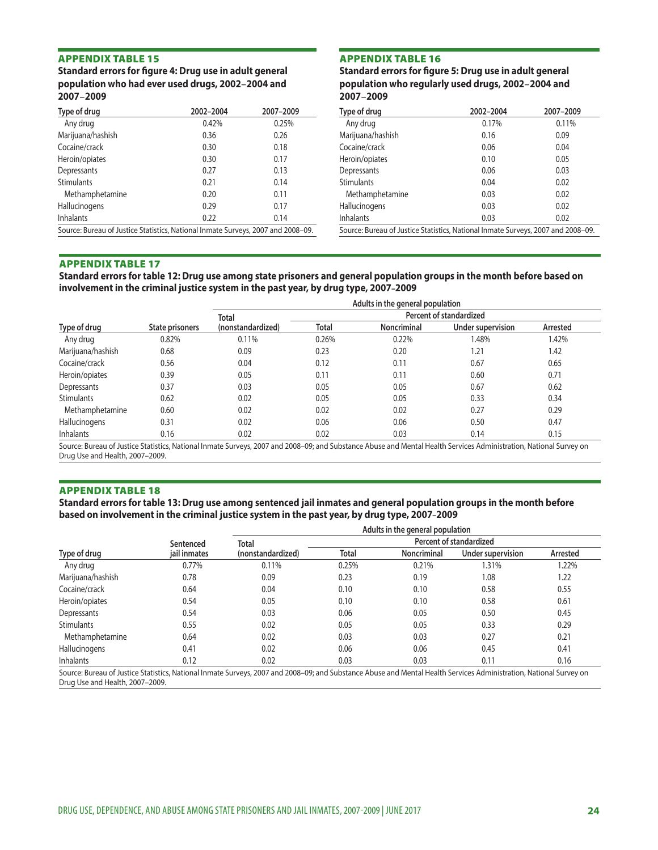**APPENDIX TABLE 15<br>Standard errors for figure 4: Drug use in adult general** population who had ever used drugs, 2002-2004 and 2007-2009

| Type of drug                                                                     | 2002-2004 | 2007-2009 |
|----------------------------------------------------------------------------------|-----------|-----------|
| Any drug                                                                         | 0.42%     | 0.25%     |
| Marijuana/hashish                                                                | 0.36      | 0.26      |
| Cocaine/crack                                                                    | 0.30      | 0.18      |
| Heroin/opiates                                                                   | 0.30      | 0.17      |
| Depressants                                                                      | 0.27      | 0.13      |
| <b>Stimulants</b>                                                                | 0.21      | 0.14      |
| Methamphetamine                                                                  | 0.20      | 0.11      |
| Hallucinogens                                                                    | 0.29      | 0.17      |
| <b>Inhalants</b>                                                                 | 0.22      | 0.14      |
| Source: Bureau of Justice Statistics, National Inmate Surveys, 2007 and 2008–09. |           |           |

**APPENDIX TABLE 16<br>Standard errors for figure 5: Drug use in adult general** population who regularly used drugs, 2002-2004 and 2007-2009

| Type of drug                                                                     | 2002-2004 | 2007-2009 |
|----------------------------------------------------------------------------------|-----------|-----------|
| Any drug                                                                         | 0.17%     | 0.11%     |
| Marijuana/hashish                                                                | 0.16      | 0.09      |
| Cocaine/crack                                                                    | 0.06      | 0.04      |
| Heroin/opiates                                                                   | 0.10      | 0.05      |
| Depressants                                                                      | 0.06      | 0.03      |
| <b>Stimulants</b>                                                                | 0.04      | 0.02      |
| Methamphetamine                                                                  | 0.03      | 0.02      |
| Hallucinogens                                                                    | 0.03      | 0.02      |
| <b>Inhalants</b>                                                                 | 0.03      | 0.02      |
| Source: Bureau of Justice Statistics, National Inmate Surveys, 2007 and 2008–09. |           |           |

#### **APPENDIX TABLE 17**

Standard errors for table 12: Drug use among state prisoners and general population groups in the month before based on involvement in the criminal justice system in the past year, by drug type, 2007-2009

|                   | Adults in the general population |                   |                         |                    |                   |          |
|-------------------|----------------------------------|-------------------|-------------------------|--------------------|-------------------|----------|
|                   |                                  | Total             | Percent of standardized |                    |                   |          |
| Type of drug      | State prisoners                  | (nonstandardized) | Total                   | <b>Noncriminal</b> | Under supervision | Arrested |
| Any drug          | 0.82%                            | 0.11%             | 0.26%                   | 0.22%              | 1.48%             | 1.42%    |
| Marijuana/hashish | 0.68                             | 0.09              | 0.23                    | 0.20               | 1.21              | 1.42     |
| Cocaine/crack     | 0.56                             | 0.04              | 0.12                    | 0.11               | 0.67              | 0.65     |
| Heroin/opiates    | 0.39                             | 0.05              | 0.11                    | 0.11               | 0.60              | 0.71     |
| Depressants       | 0.37                             | 0.03              | 0.05                    | 0.05               | 0.67              | 0.62     |
| <b>Stimulants</b> | 0.62                             | 0.02              | 0.05                    | 0.05               | 0.33              | 0.34     |
| Methamphetamine   | 0.60                             | 0.02              | 0.02                    | 0.02               | 0.27              | 0.29     |
| Hallucinogens     | 0.31                             | 0.02              | 0.06                    | 0.06               | 0.50              | 0.47     |
| Inhalants         | 0.16                             | 0.02              | 0.02                    | 0.03               | 0.14              | 0.15     |

Source: Bureau of Justice Statistics, National Inmate Surveys, 2007 and 2008–09; and Substance Abuse and Mental Health Services Administration, National Survey on Drug Use and Health, 2007–2009.

#### **APPENDIX TABLE 18**

Standard errors for table 13: Drug use among sentenced jail inmates and general population groups in the month before based on involvement in the criminal justice system in the past year, by drug type, 2007-2009

|                   |              | Adults in the general population |                         |             |                   |          |
|-------------------|--------------|----------------------------------|-------------------------|-------------|-------------------|----------|
|                   | Sentenced    | <b>Total</b>                     | Percent of standardized |             |                   |          |
| Type of drug      | jail inmates | (nonstandardized)                | <b>Total</b>            | Noncriminal | Under supervision | Arrested |
| Any drug          | 0.77%        | 0.11%                            | 0.25%                   | 0.21%       | 1.31%             | 1.22%    |
| Marijuana/hashish | 0.78         | 0.09                             | 0.23                    | 0.19        | 1.08              | 1.22     |
| Cocaine/crack     | 0.64         | 0.04                             | 0.10                    | 0.10        | 0.58              | 0.55     |
| Heroin/opiates    | 0.54         | 0.05                             | 0.10                    | 0.10        | 0.58              | 0.61     |
| Depressants       | 0.54         | 0.03                             | 0.06                    | 0.05        | 0.50              | 0.45     |
| <b>Stimulants</b> | 0.55         | 0.02                             | 0.05                    | 0.05        | 0.33              | 0.29     |
| Methamphetamine   | 0.64         | 0.02                             | 0.03                    | 0.03        | 0.27              | 0.21     |
| Hallucinogens     | 0.41         | 0.02                             | 0.06                    | 0.06        | 0.45              | 0.41     |
| <b>Inhalants</b>  | 0.12         | 0.02                             | 0.03                    | 0.03        | 0.11              | 0.16     |

Source: Bureau of Justice Statistics, National Inmate Surveys, 2007 and 2008–09; and Substance Abuse and Mental Health Services Administration, National Survey on Drug Use and Health, 2007–2009.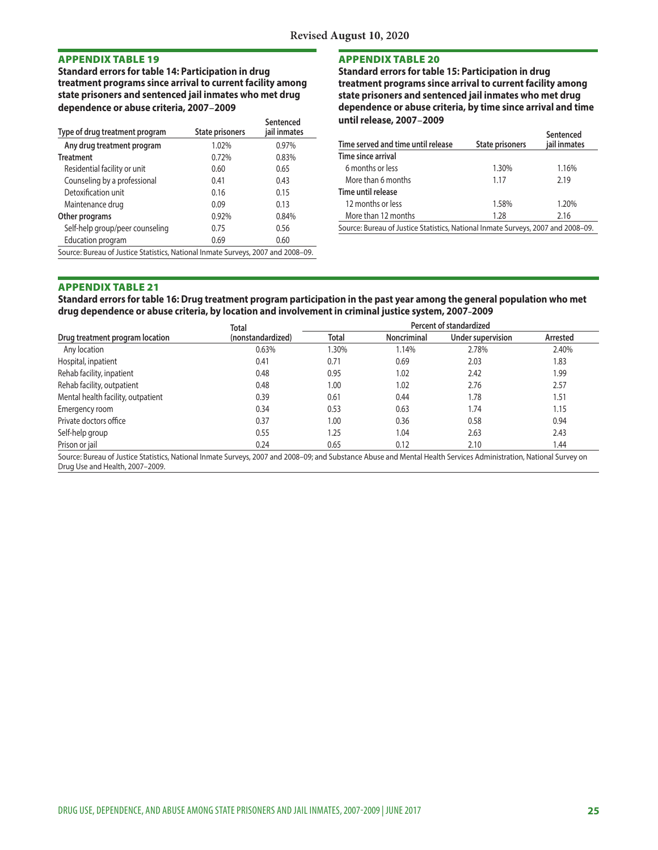Standard errors for table 14: Participation in drug treatment programs since arrival to current facility among state prisoners and sentenced jail inmates who met drug dependence or abuse criteria, 2007-2009

| Type of drug treatment program                                                   | <b>State prisoners</b> | Sentenced<br>jail inmates |  |
|----------------------------------------------------------------------------------|------------------------|---------------------------|--|
| Any drug treatment program                                                       | 1.02%                  | 0.97%                     |  |
| <b>Treatment</b>                                                                 | 0.72%                  | 0.83%                     |  |
| Residential facility or unit                                                     | 0.60                   | 0.65                      |  |
| Counseling by a professional                                                     | 0.41                   | 0.43                      |  |
| Detoxification unit                                                              | 0.16                   | 0.15                      |  |
| Maintenance drug                                                                 | 0.09                   | 0.13                      |  |
| Other programs                                                                   | 0.92%                  | 0.84%                     |  |
| Self-help group/peer counseling                                                  | 0.75                   | 0.56                      |  |
| Education program                                                                | 0.69                   | 0.60                      |  |
| Source: Bureau of Justice Statistics, National Inmate Surveys, 2007 and 2008–09. |                        |                           |  |

**APPENDIX TABLE 20**<br>Standard errors for table 15: Participation in drug treatment programs since arrival to current facility among state prisoners and sentenced jail inmates who met drug dependence or abuse criteria, by time since arrival and time until release, 2007-2009

| Time served and time until release                                               | <b>State prisoners</b> | Sentenced<br>jail inmates |  |
|----------------------------------------------------------------------------------|------------------------|---------------------------|--|
| Time since arrival                                                               |                        |                           |  |
| 6 months or less                                                                 | 1.30%                  | 1.16%                     |  |
| More than 6 months                                                               | 1.17                   | 2.19                      |  |
| Time until release                                                               |                        |                           |  |
| 12 months or less                                                                | 1.58%                  | 1.20%                     |  |
| More than 12 months                                                              | 1.28                   | 2.16                      |  |
| Source: Bureau of Justice Statistics, National Inmate Surveys, 2007 and 2008-09. |                        |                           |  |

#### **APPENDIX TABLE 21**

Standard errors for table 16: Drug treatment program participation in the past year among the general population who met drug dependence or abuse criteria, by location and involvement in criminal justice system, 2007-2009

|                                    | <b>Total</b>      |       | Percent of standardized |                   |          |
|------------------------------------|-------------------|-------|-------------------------|-------------------|----------|
| Drug treatment program location    | (nonstandardized) | Total | Noncriminal             | Under supervision | Arrested |
| Any location                       | 0.63%             | .30%  | 1.14%                   | 2.78%             | 2.40%    |
| Hospital, inpatient                | 0.41              | 0.71  | 0.69                    | 2.03              | 1.83     |
| Rehab facility, inpatient          | 0.48              | 0.95  | 1.02                    | 2.42              | 1.99     |
| Rehab facility, outpatient         | 0.48              | 1.00  | 1.02                    | 2.76              | 2.57     |
| Mental health facility, outpatient | 0.39              | 0.61  | 0.44                    | 1.78              | 1.51     |
| Emergency room                     | 0.34              | 0.53  | 0.63                    | 1.74              | 1.15     |
| Private doctors office             | 0.37              | 1.00  | 0.36                    | 0.58              | 0.94     |
| Self-help group                    | 0.55              | 1.25  | 1.04                    | 2.63              | 2.43     |
| Prison or jail                     | 0.24              | 0.65  | 0.12                    | 2.10              | 1.44     |
|                                    | .                 | .     |                         |                   |          |

Source: Bureau of Justice Statistics, National Inmate Surveys, 2007 and 2008–09; and Substance Abuse and Mental Health Services Administration, National Survey on Drug Use and Health, 2007–2009.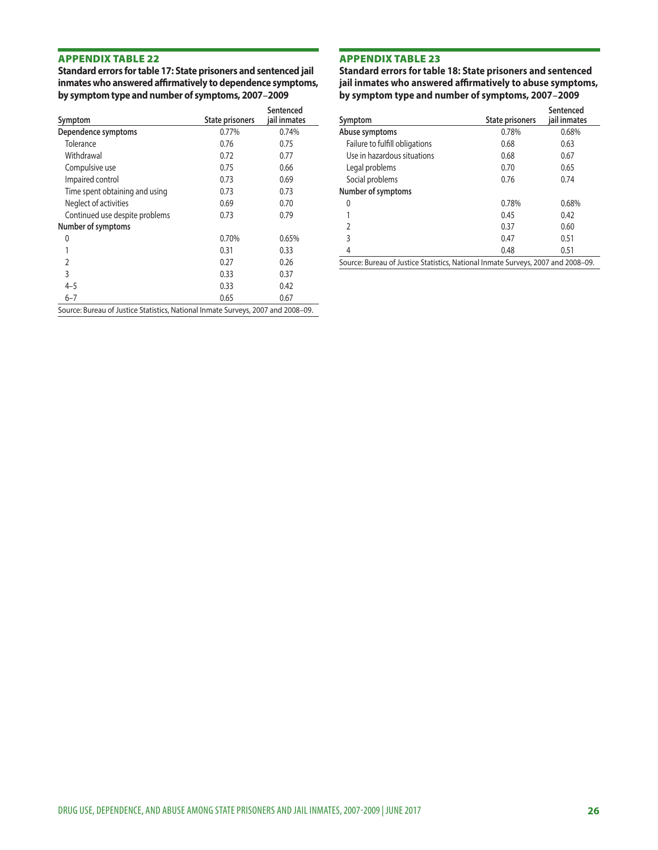**APPENDIX TABLE 22**<br>Standard errors for table 17: State prisoners and sentenced jail inmates who answered affirmatively to dependence symptoms, by symptom type and number of symptoms, 2007-2009

| Symptom                        | <b>State prisoners</b> | Sentenced<br>jail inmates |
|--------------------------------|------------------------|---------------------------|
| Dependence symptoms            | 0.77%                  | 0.74%                     |
| Tolerance                      | 0.76                   | 0.75                      |
| Withdrawal                     | 0.72                   | 0.77                      |
| Compulsive use                 | 0.75                   | 0.66                      |
| Impaired control               | 0.73                   | 0.69                      |
| Time spent obtaining and using | 0.73                   | 0.73                      |
| Neglect of activities          | 0.69                   | 0.70                      |
| Continued use despite problems | 0.73                   | 0.79                      |
| Number of symptoms             |                        |                           |
| 0                              | 0.70%                  | 0.65%                     |
|                                | 0.31                   | 0.33                      |
| 2                              | 0.27                   | 0.26                      |
| 3                              | 0.33                   | 0.37                      |
| 4–5                            | 0.33                   | 0.42                      |
| $6 - 7$                        | 0.65                   | 0.67                      |

Source: Bureau of Justice Statistics, National Inmate Surveys, 2007 and 2008–09.

**APPENDIX TABLE 23**<br>Standard errors for table 18: State prisoners and sentenced jail inmates who answered affirmatively to abuse symptoms, by symptom type and number of symptoms, 2007-2009

| Symptom                        | <b>State prisoners</b> | Sentenced<br>iail inmates |
|--------------------------------|------------------------|---------------------------|
| Abuse symptoms                 | 0.78%                  | 0.68%                     |
| Failure to fulfill obligations | 0.68                   | 0.63                      |
| Use in hazardous situations    | 0.68                   | 0.67                      |
| Legal problems                 | 0.70                   | 0.65                      |
| Social problems                | 0.76                   | 0.74                      |
| Number of symptoms             |                        |                           |
| 0                              | 0.78%                  | 0.68%                     |
|                                | 0.45                   | 0.42                      |
| $\overline{2}$                 | 0.37                   | 0.60                      |
| 3                              | 0.47                   | 0.51                      |
| 4                              | 0.48                   | 0.51                      |
|                                |                        |                           |